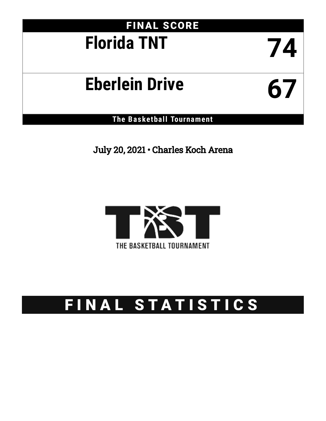# FINAL SCORE **Florida TNT 74**

# **Eberlein Drive 67**

**The Basketball Tournament**

July 20, 2021 • Charles Koch Arena



# FINAL STATISTICS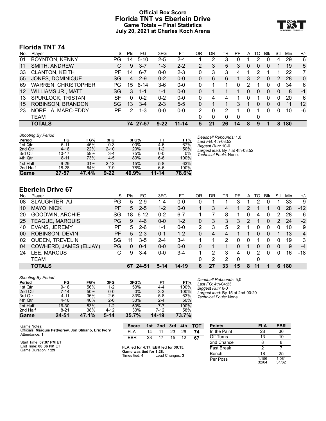# **Official Box Score Florida TNT vs Eberlein Drive Game Totals -- Final Statistics July 20, 2021 at Charles Koch Arena**



# **Florida TNT 74**

| No.               | Player                     | S  | <b>Pts</b> | FG       | 3FG      | FT        | OR | DR | TR | PF       | A | TO       | Blk      | Stl | Min | $+/-$ |
|-------------------|----------------------------|----|------------|----------|----------|-----------|----|----|----|----------|---|----------|----------|-----|-----|-------|
| 01                | <b>BOYNTON, KENNY</b>      | PG | 14         | $5 - 10$ | 2-5      | 2-4       |    | 2  | 3  | $\Omega$ |   | 2        | $\Omega$ | 4   | 29  | 6     |
| 11                | <b>SMITH, ANDREW</b>       | С  | 9          | $3 - 7$  | $1 - 3$  | $2 - 2$   | 2  | 3  | 5  | 3        | 0 | $\Omega$ | 0        | 1   | 19  | 5     |
| 33                | <b>CLANTON, KEITH</b>      | РF | 14         | $6 - 7$  | $0 - 0$  | $2 - 3$   | 0  | 3  | 3  | 4        |   | 2        |          | 1   | 22  | 7     |
| 55                | JONES, DOMINIQUE           | SG | 4          | $2-9$    | $0 - 2$  | $0 - 0$   | 0  | 6  | 6  | 1        | 3 | 2        | $\Omega$ | 2   | 28  | 0     |
| 69                | <b>WARREN, CHRISTOPHER</b> | PG | 15         | $6 - 14$ | $3-6$    | $0 - 0$   | 0  |    | 1  | $\Omega$ | 2 | 1        | 0        | 0   | 34  | 6     |
| $12 \overline{ }$ | <b>WILLIAMS JR., MATT</b>  | SG | 3          | $1 - 1$  | $1 - 1$  | $0 - 0$   | 0  |    |    |          | 0 | $\Omega$ | 0        | 0   | 8   | $-1$  |
| 13                | SPURLOCK, TRISTAN          | SF | $\Omega$   | $0 - 2$  | $0 - 2$  | $0 - 0$   | 0  | 4  | 4  |          | 0 |          | 0        | 0   | 20  | 6     |
| 15                | ROBINSON, BRANDON          | SG | 13         | $3 - 4$  | $2 - 3$  | $5 - 5$   | 0  |    |    | 3        |   | 0        | 0        | 0   | 11  | 12    |
| 23                | NORELIA, MARC-EDDY         | РF | 2          | $1 - 3$  | $0 - 0$  | $0 - 0$   | 2  | 0  | 2  |          | 0 |          | 0        | 0   | 10  | -6    |
|                   | TEAM                       |    |            |          |          |           | 0  | 0  | 0  | 0        |   | 0        |          |     |     |       |
|                   | <b>TOTALS</b>              |    |            | 74 27-57 | $9 - 22$ | $11 - 14$ | 5  | 21 | 26 | 14       | 8 | 9        |          | 8   | 180 |       |
|                   |                            |    |            |          |          |           |    |    |    |          |   |          |          |     |     |       |

| <b>Shooting By Period</b> |           |       |          |       |         |       |
|---------------------------|-----------|-------|----------|-------|---------|-------|
| Period                    | FG        | FG%   | 3FG      | 3FG%  | FT      | FT%   |
| 1st Qtr                   | $5 - 11$  | 45%   | $0 - 3$  | 00%   | 4-6     | 67%   |
| 2nd Qtr                   | $4 - 18$  | 22%   | $2 - 10$ | 20%   | $1 - 2$ | 50%   |
| 3rd Qtr                   | $10 - 17$ | 59%   | $3 - 4$  | 75%   | $0 - 0$ | 0%    |
| 4th Qtr                   | $8 - 11$  | 73%   | $4 - 5$  | 80%   | $6-6$   | 100%  |
| 1st Half                  | $9 - 29$  | 31%   | $2 - 13$ | 15%   | $5 - 8$ | 63%   |
| 2nd Half                  | 18-28     | 64%   | 7-9      | 78%   | 6-6     | 100%  |
| Game                      | 27-57     | 47.4% | $9 - 22$ | 40.9% | 11-14   | 78.6% |

*Deadball Rebounds:* 1,0 *Last FG:* 4th-03:52 *Biggest Run:* 10-0 *Largest lead:* By 7 at 4th-03:52 *Technical Fouls:* None.

# **Eberlein Drive 67**

| No. | Plaver                 | S         | Pts | FG       | 3FG     | FT      | OR | DR | TR | PF | A | TO | Blk | Stl | Min | $+/-$          |
|-----|------------------------|-----------|-----|----------|---------|---------|----|----|----|----|---|----|-----|-----|-----|----------------|
| 08  | SLAUGHTER, AJ          | PG        | 5   | $2 - 9$  | 1-4     | $0-0$   | 0  |    |    | 3  |   | ົ  | 0   |     | 33  | -9             |
| 10  | MAYO, NICK             | PF        | 5.  | $2 - 5$  | $1 - 2$ | $0 - 0$ |    | 3  | 4  |    | 2 |    |     | 0   | 28  | $-12$          |
| 20  | GOODWIN, ARCHIE        | SG        | 18  | $6 - 12$ | $0 - 2$ | $6 - 7$ |    |    | 8  |    | 0 | 4  | 0   | 2   | 28  | -6             |
| 25  | <b>TEAGUE, MARQUIS</b> | PG        | 9   | $4-6$    | $0 - 0$ | $1 - 2$ | 0  | 3  | 3  | 3  | 2 |    | 0   | 2   | 24  | $-2$           |
| 40  | <b>EVANS, JEREMY</b>   | РF        | 5.  | $2 - 6$  | 1-1     | $0 - 0$ | 2  | 3  | 5  | 2  |   | 0  | 0   | 0   | 10  | 9              |
| 00  | ROBINSON, DEVIN        | <b>PF</b> | 5.  | $2 - 3$  | $0 - 1$ | $1 - 2$ | 0  | 4  | 4  |    |   | 0  | 0   |     | 13  | $\overline{4}$ |
| 02  | QUEEN, TREVELIN        | SG        | 11  | $3 - 5$  | $2 - 4$ | $3 - 4$ |    |    | 2  | O  | 0 |    | 0   | 0   | 19  | 3              |
| 04  | COWHERD, JAMES (ELJAY) | PG        | 0   | $0 - 1$  | $0 - 0$ | $0 - 0$ | 0  |    |    | 0  |   | 0  | 0   | 0   | 9   | $-4$           |
| 24  | LEE, MARCUS            | С         | 9   | $3 - 4$  | $0 - 0$ | $3-4$   |    | 2  | 3  | 4  | 0 | 2  | U   | 0   | 16  | $-18$          |
|     | TEAM                   |           |     |          |         |         | 0  | 2  | 2  | 0  |   | 0  |     |     |     |                |
|     | <b>TOTALS</b>          |           | 67  | 24-51    | $5-14$  | 14-19   | 6  | 27 | 33 | 15 | 8 |    |     | 6   | 180 |                |

#### *Shooting By Period*

| Period   | FG       | FG%   | 3FG      | 3FG%  | FΤ      | FT%      |
|----------|----------|-------|----------|-------|---------|----------|
| 1st Qtr  | $9 - 16$ | 56%   | $1 - 2$  | 50%   | 4-4     | 100%     |
| 2nd Qtr  | $7 - 14$ | 50%   | $0 - 0$  | $0\%$ | $3 - 3$ | 100%     |
| 3rd Qtr  | $4 - 11$ | 36%   | $2-6$    | 33%   | $5 - 8$ | 63%      |
| 4th Qtr  | $4 - 10$ | 40%   | $2 - 6$  | 33%   | $2 - 4$ | 50%      |
| 1st Half | 16-30    | 53%   | $1 - 2$  | 50%   | $7 - 7$ | 100%     |
| 2nd Half | $8 - 21$ | 38%   | $4 - 12$ | 33%   | 7-12    | 58%      |
| Game     | 24-51    | 47.1% | $5 - 14$ | 35.7% | 14-19   | $73.7\%$ |

*Deadball Rebounds:* 5,0 *Last FG:* 4th-04:23 *Biggest Run:* 6-0 *Largest lead:* By 15 at 2nd-00:20 *Technical Fouls:* None.

| Game Notes:                                                             | <b>Score</b>                         |    |       |       |    | 1st 2nd 3rd 4th TOT | <b>Points</b>     |
|-------------------------------------------------------------------------|--------------------------------------|----|-------|-------|----|---------------------|-------------------|
| Officials: Marquis Pettygrew, Jon Stiliano, Eric Ivory<br>Attendance: 1 | FI A                                 | 14 | -11   | 23    | 26 | 74                  | In the Paint      |
|                                                                         | EBR                                  |    | 23 17 | 15 12 |    | -67                 | Off Turns         |
| Start Time: 07:07 PM ET                                                 |                                      |    |       |       |    |                     | 2nd Chance        |
| End Time: 08:36 PM ET<br>Game Duration: 1:29                            | FLA led for 4:17. EBR led for 30:15. |    |       |       |    |                     | <b>Fast Break</b> |
|                                                                         | Game was tied for 1:28.              |    |       |       |    |                     | __                |

**Times tied: 4** Lead Changes: 3

| <b>Points</b>     | <b>FLA</b>     | <b>EBR</b>     |
|-------------------|----------------|----------------|
| In the Paint      | 28             | 36             |
| Off Turns         | 13             | 10             |
| 2nd Chance        | 8              | 8              |
| <b>Fast Break</b> | 2              |                |
| Bench             | 18             | 25             |
| Per Poss          | 1.156<br>32/64 | 1.081<br>31/62 |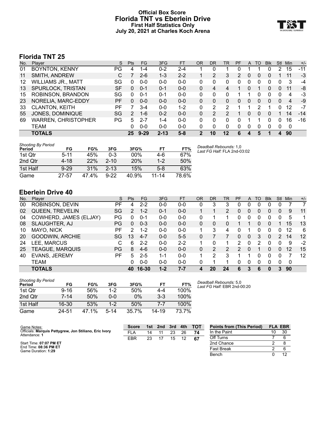# **Official Box Score Florida TNT vs Eberlein Drive First Half Statistics Only July 20, 2021 at Charles Koch Arena**



# **Florida TNT 25**

| No. | Player                     | S         | <b>Pts</b>    | FG       | 3FG      | <b>FT</b> | <b>OR</b> | DR | TR | PF | A        | TO       | <b>Blk</b> | Stl          | Min | $+/-$ |
|-----|----------------------------|-----------|---------------|----------|----------|-----------|-----------|----|----|----|----------|----------|------------|--------------|-----|-------|
| 01  | <b>BOYNTON, KENNY</b>      | PG        | 4             | 1-4      | $0 - 2$  | $2 - 4$   |           |    |    |    |          |          |            |              | 15  | -11   |
| 11  | SMITH, ANDREW              | С         |               | $2 - 6$  | $1 - 3$  | $2 - 2$   |           |    | 3  | 2  | 0        |          | 0          |              | 11  | $-3$  |
| 12  | <b>WILLIAMS JR., MATT</b>  | SG        | 0             | ი-ი      | $0 - 0$  | $0 - 0$   | 0         |    | 0  |    | Ω        |          | 0          |              | 3   | $-4$  |
| 13  | SPURLOCK, TRISTAN          | <b>SF</b> | 0             | $0 - 1$  | $0 - 1$  | $0 - 0$   | 0         | 4  | 4  |    | 0        |          | 0          | 0            | 11  | -8    |
| 15  | ROBINSON, BRANDON          | SG        | 0             | $0 - 1$  | $0 - 1$  | $0 - 0$   | 0         | 0  | 0  |    |          |          | U          |              | 4   | -3    |
| 23  | NORELIA, MARC-EDDY         | РF        | $\Omega$      | $0 - 0$  | $0 - 0$  | $0 - 0$   | 0         | 0  | 0  | 0  | $\Omega$ | $\Omega$ | 0          | $\Omega$     | 4   | -9    |
| 33  | <b>CLANTON, KEITH</b>      | РF        |               | $3 - 4$  | $0 - 0$  | 1-2       | $\Omega$  | 2  | 2  |    |          | 2        |            | 0            | 12  | -7    |
| 55  | JONES, DOMINIQUE           | SG        | $\mathcal{P}$ | $1 - 6$  | $0 - 2$  | $0 - 0$   | $\Omega$  |    | 2  |    | 0        | 0        | 0          |              | 14  | $-14$ |
| 69  | <b>WARREN, CHRISTOPHER</b> | PG        | 5             | $2 - 7$  | $1 - 4$  | $0 - 0$   | $\Omega$  | 0  | 0  | 0  |          |          | 0          | 0            | 16  | $-16$ |
|     | TEAM                       |           | 0             | $0 - 0$  | $0 - 0$  | $0 - 0$   | 0         | 0  | 0  | 0  | $\Omega$ | 0        | 0          | 0            | 0   |       |
|     | <b>TOTALS</b>              |           | 25            | $9 - 29$ | $2 - 13$ | $5 - 8$   | 2         | 10 | 12 | 6  |          | 5        |            | $\mathbf{A}$ | 90  |       |

| <b>Shooting By Period</b><br>Period | FG       | FG%   | 3FG      | 3FG%  | FT        | FT%   | Deadball Rebounds: 1,0<br>Last FG Half: FLA 2nd-03:02 |
|-------------------------------------|----------|-------|----------|-------|-----------|-------|-------------------------------------------------------|
| 1st Qtr                             | $5 - 11$ | 45%   | $0 - 3$  | 00%   | 4-6       | 67%   |                                                       |
| 2nd Qtr                             | 4-18     | 22%   | $2 - 10$ | 20%   | $1-2$     | 50%   |                                                       |
| 1st Half                            | $9 - 29$ | 31%   | $2 - 13$ | 15%   | $5-8$     | 63%   |                                                       |
| Game                                | 27-57    | 47.4% | $9 - 22$ | 40.9% | $11 - 14$ | 78.6% |                                                       |

# **Eberlein Drive 40**

| No. | Player                 | S   | <b>Pts</b> | <b>FG</b> | 3FG     | <b>FT</b> | OR | DR | TR            | PF            | A              | TO | <b>Blk</b> | Stl | Min | $+/-$ |
|-----|------------------------|-----|------------|-----------|---------|-----------|----|----|---------------|---------------|----------------|----|------------|-----|-----|-------|
| 00  | ROBINSON, DEVIN        | РF  | 4          | $2 - 2$   | $0 - 0$ | $0 - 0$   | 0  | 3  | 3             | 0             | 0              | 0  |            | O   |     |       |
| 02  | <b>QUEEN, TREVELIN</b> | SG  | 2          | $1 - 2$   | $0 - 1$ | $0-0$     |    |    | 2             | 0             | 0              | 0  | 0          | 0   | 9   | 11    |
| 04  | COWHERD, JAMES (ELJAY) | PG  | 0          | $0 - 1$   | $0 - 0$ | $0-0$     | 0  |    |               | 0             | 0              |    | 0          | 0   | 5   | 1     |
| 08  | SLAUGHTER, AJ          | PG  | 0          | $0 - 3$   | $0 - 0$ | $0 - 0$   | 0  | 0  | 0             |               |                | 0  |            |     | 15  | 13    |
| 10  | MAYO, NICK             | РF  | 2          | 1-2       | 0-0     | $0-0$     |    | 3  | 4             | 0             |                |    |            | 0   | 12  | 6     |
| 20  | <b>GOODWIN, ARCHIE</b> | SG  | 13         | $4 - 7$   | $0 - 0$ | $5 - 5$   | 0  |    |               | 0             | $\overline{0}$ | 3  | 0          | 2   | 14  | 12    |
| 24  | LEE, MARCUS            | С   | 6          | $2 - 2$   | $0 - 0$ | $2 - 2$   |    | 0  | 1.            | 2             | $\Omega$       | 2  |            | 0   | 9   | $-2$  |
| 25  | TEAGUE, MARQUIS        | PG. | 8          | $4-6$     | $0 - 0$ | $0 - 0$   | 0  | 2  | $\mathcal{P}$ | $\mathcal{P}$ | $\Omega$       |    | 0          | 0   | 12  | 15    |
| 40  | EVANS, JEREMY          | PF  | 5          | $2 - 5$   | $1 - 1$ | $0-0$     |    | 2  | 3             |               |                | 0  | 0          | 0   |     | 12    |
|     | <b>TEAM</b>            |     | 0          | $0 - 0$   | $0 - 0$ | $0 - 0$   | 0  |    |               | 0             | 0              | 0  | 0          | 0   | 0   |       |
|     | <b>TOTALS</b>          |     | 40         | 16-30     | $1-2$   | $7 - 7$   |    | 20 | 24            | 6             | 3              | 6  | 0          | 3   | 90  |       |

| <b>Shooting By Period</b><br>Period | FG       | FG%   | 3FG      | 3FG%  | FТ      | FT%   |
|-------------------------------------|----------|-------|----------|-------|---------|-------|
| 1st Otr                             | $9 - 16$ | 56%   | $1 - 2$  | 50%   | 4-4     | 100%  |
| 2nd Otr                             | $7 - 14$ | 50%   | $0 - 0$  | $0\%$ | $3 - 3$ | 100%  |
| 1st Half                            | 16-30    | 53%   | $1 - 2$  | 50%   | 7-7     | 100%  |
| Game                                | 24.51    | 47.1% | $5 - 14$ | 35.7% | 14-19   | 73.7% |

*Deadball Rebounds:* 5,0 *Last FG Half:* EBR 2nd-00:20

| Game Notes:                                                             | <b>Score</b> | 1st l | 2nd | 3rd | 4th | <b>TOT</b> | <b>Points from (This Period)</b> | <b>FLA EBR</b> |    |
|-------------------------------------------------------------------------|--------------|-------|-----|-----|-----|------------|----------------------------------|----------------|----|
| Officials: Marquis Pettygrew, Jon Stiliano, Eric Ivory<br>Attendance: 1 | <b>FLA</b>   | 14    |     | 23  | 26  |            | In the Paint                     | 10             | 30 |
|                                                                         | <b>EBR</b>   | 23    |     | 15  | 12  | -67        | Off Turns                        |                |    |
| Start Time: 07:07 PM ET                                                 |              |       |     |     |     |            | 2nd Chance                       |                |    |
| End Time: 08:36 PM ET<br>Game Duration: 1:29                            |              |       |     |     |     |            | <b>Fast Break</b>                |                |    |
|                                                                         |              |       |     |     |     |            | Bench                            |                |    |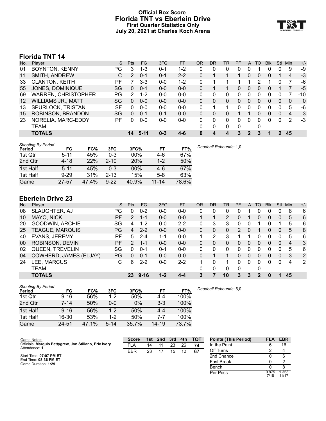# **Official Box Score Florida TNT vs Eberlein Drive First Quarter Statistics Only July 20, 2021 at Charles Koch Arena**



# **Florida TNT 14**

| No.               | Plaver                     | S  | <b>Pts</b> | <b>FG</b> | 3FG     | <b>FT</b> | <b>OR</b> | DR       | TR | <b>PF</b>    | A        | TO | <b>Blk</b> | Stl | Min | $+/-$ |
|-------------------|----------------------------|----|------------|-----------|---------|-----------|-----------|----------|----|--------------|----------|----|------------|-----|-----|-------|
| 01                | <b>BOYNTON, KENNY</b>      | PG | 3          | 1-3       | $0 - 1$ | 1-2       | 0         | 0        | 0  | 0            | 0        |    | 0          | 0   | 9   | -9    |
| 11                | SMITH, ANDREW              | C  | 2          | $0 - 1$   | $0 - 1$ | $2 - 2$   | 0         |          |    |              | 0        | 0  | 0          |     | 4   | -3    |
| 33                | <b>CLANTON, KEITH</b>      | РF |            | $3 - 3$   | $0 - 0$ | $1 - 2$   | 0         |          |    |              |          | 2  |            | 0   | 7   | -6    |
| 55                | JONES, DOMINIQUE           | SG | 0          | $0 - 1$   | $0 - 0$ | $0 - 0$   | 0         |          |    | 0            | $\Omega$ | 0  | 0          |     |     | $-5$  |
| 69                | <b>WARREN, CHRISTOPHER</b> | PG | 2          | $1 - 2$   | $0 - 0$ | $0 - 0$   | 0         | 0        | 0  | 0            |          | 0  | 0          | 0   |     | $-10$ |
| $12 \overline{ }$ | <b>WILLIAMS JR., MATT</b>  | SG | 0          | $0 - 0$   | $0 - 0$ | $0 - 0$   | 0         | 0        | 0  | 0            | 0        | 0  | 0          | 0   | 0   | 0     |
| 13                | SPURLOCK, TRISTAN          | SF | 0          | $0 - 0$   | $0 - 0$ | $0 - 0$   | 0         |          |    | <sup>0</sup> | 0        | 0  | 0          | 0   | 5   | -6    |
| 15                | ROBINSON, BRANDON          | SG | 0          | $0 - 1$   | $0 - 1$ | $0 - 0$   | 0         | 0        | 0  |              |          | 0  | 0          | 0   | 4   | $-3$  |
| 23                | NORELIA, MARC-EDDY         | РF | 0          | $0 - 0$   | $0-0$   | $0 - 0$   | 0         | $\Omega$ | 0  | 0            | 0        | 0  | 0          | 0   | 2   | $-3$  |
|                   | TEAM                       |    |            |           |         |           | 0         | 0        | 0  | 0            |          | 0  |            |     |     |       |
|                   | <b>TOTALS</b>              |    | 14         | $5-11$    | $0 - 3$ | $4-6$     |           | 4        | 4  | 3            | 2        | 3  |            | 2   | 45  |       |
|                   |                            |    |            |           |         |           |           |          |    |              |          |    |            |     |     |       |

| <b>Shooting By Period</b> |           |       |          |            |           |       | Deadball Rebounds: |
|---------------------------|-----------|-------|----------|------------|-----------|-------|--------------------|
| Period                    | FG        | FG%   | 3FG      | 3FG%       | FT        | FT%   |                    |
| 1st Qtr                   | $5 - 11$  | 45%   | 0-3      | 00%        | 4-6       | 67%   |                    |
| 2nd Qtr                   | $4 - 18$  | 22%   | $2 - 10$ | <b>20%</b> | $1 - 2$   | 50%   |                    |
| 1st Half                  | $5 - 11$  | 45%   | 0-3      | $00\%$     | $4-6$     | 67%   |                    |
| 1st Half                  | $9 - 29$  | 31%   | $2 - 13$ | 15%        | $5-8$     | 63%   |                    |
| Game                      | $27 - 57$ | 47.4% | $9 - 22$ | 40.9%      | $11 - 14$ | 78.6% |                    |

# **Eberlein Drive 23**

| No. | Plaver                 | S   | <b>Pts</b> | FG       | 3FG     | <b>FT</b> | <b>OR</b> | DR | TR             | <b>PF</b> | A            | ТО       | <b>Blk</b> | Stl          | Min | $+/-$ |
|-----|------------------------|-----|------------|----------|---------|-----------|-----------|----|----------------|-----------|--------------|----------|------------|--------------|-----|-------|
| 08  | SLAUGHTER, AJ          | PG  | O          | $0 - 2$  | $0-0$   | $0-0$     | 0         | 0  | 0              | 0         |              |          | 0          |              | 8   | 6     |
| 10  | MAYO, NICK             | PF. | 2          | 1-1      | $0 - 0$ | $0 - 0$   |           |    | $\overline{2}$ | 0         |              | 0        | 0          | 0            | 5   | 6     |
| 20  | GOODWIN, ARCHIE        | SG  | 4          | 1-2      | $0 - 0$ | $2 - 2$   | 0         | 3  | 3              | 0         |              |          | 0          |              | 5   | 6     |
| 25  | <b>TEAGUE, MARQUIS</b> | PG  | 4          | $2 - 2$  | $0 - 0$ | $0 - 0$   | 0         | 0  | 0              | 2         |              |          | 0          | 0            | 5   | 8     |
| 40  | <b>EVANS, JEREMY</b>   | PF  | 5          | $2 - 4$  | 1-1     | $0-0$     |           | 2  | 3              |           |              |          | 0          |              | 5   | 6     |
| 00  | ROBINSON, DEVIN        | РF  | 2          | 1-1      | $0 - 0$ | $0 - 0$   | 0         | 0  | 0              | 0         | $\Omega$     | $\Omega$ | 0          | 0            | 4   | 3     |
| 02  | <b>QUEEN, TREVELIN</b> | SG  | 0          | $0 - 1$  | $0 - 1$ | $0 - 0$   | $\Omega$  | 0  | 0              | 0         | 0            | 0        | 0          | 0            | 5   | 6     |
| 04  | COWHERD, JAMES (ELJAY) | PG  | 0          | $0 - 1$  | $0 - 0$ | $0 - 0$   | 0         |    |                | 0         | $\mathbf{0}$ | 0        | 0          | $\mathbf{0}$ | 3   | 2     |
| 24  | LEE, MARCUS            | С   | 6          | $2 - 2$  | $0-0$   | $2 - 2$   |           | 0  |                | 0         | $\Omega$     | 0        | 0          | $\Omega$     | 4   | 2     |
|     | TEAM                   |     |            |          |         |           | 0         | 0  | 0              | 0         |              | 0        |            |              |     |       |
|     | <b>TOTALS</b>          |     | 23         | $9 - 16$ | $1 - 2$ | $4 - 4$   | 3         |    | 10             | 3         |              | 2        |            |              | 45  |       |

| Shooting By Period |          |       |          |       |         |       |
|--------------------|----------|-------|----------|-------|---------|-------|
| Period             | FG       | FG%   | 3FG      | 3FG%  | FT      | FT%   |
| 1st Qtr            | $9 - 16$ | 56%   | $1 - 2$  | 50%   | 4-4     | 100%  |
| 2nd Qtr            | $7 - 14$ | 50%   | $0 - 0$  | $0\%$ | $3-3$   | 100%  |
| 1st Half           | $9 - 16$ | 56%   | $1 - 2$  | 50%   | $4 - 4$ | 100%  |
| 1st Half           | 16-30    | 53%   | $1 - 2$  | 50%   | 7-7     | 100%  |
| Game               | 24-51    | 47.1% | $5 - 14$ | 35.7% | 14-19   | 73.7% |

*Deadball Rebounds:* 5,0

*Deadball Rebounds:* 1,0

| Game Notes:                                            | Score      | 1st. | 2nd | 3rd | 4th | <b>TOT</b> | <b>Points (This Period)</b> | <b>FLA</b>    | <b>EBR</b>    |
|--------------------------------------------------------|------------|------|-----|-----|-----|------------|-----------------------------|---------------|---------------|
| Officials: Marquis Pettygrew, Jon Stiliano, Eric Ivory | <b>FLA</b> | 14   |     | 23  | 26  | 74         | In the Paint                |               | 16            |
| Attendance: 1                                          | <b>EBR</b> | 23   |     | 15  | 12  | -67        | Off Turns                   |               |               |
| Start Time: 07:07 PM ET                                |            |      |     |     |     |            | 2nd Chance                  |               |               |
| End Time: 08:36 PM ET<br>Game Duration: 1:29           |            |      |     |     |     |            | <b>Fast Break</b>           |               |               |
|                                                        |            |      |     |     |     |            | Bench                       |               |               |
|                                                        |            |      |     |     |     |            | Per Poss                    | 0.875<br>7/16 | .353<br>11/17 |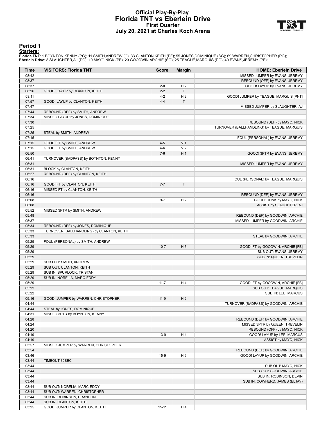## **Official Play-By-Play Florida TNT vs Eberlein Drive First Quarter July 20, 2021 at Charles Koch Arena**



#### **Period 1**

<mark>Starters:</mark><br>Florida TNT: 1 BOYNTON,KENNY (PG); 11 SMITH,ANDREW (C); 33 CLANTON,KEITH (PF); 55 JONES,DOMINIQUE (SG); 69 WARREN,CHRISTOPHER (PG);<br>**Eberlein Drive**: 8 SLAUGHTER,AJ (PG); 10 MAYO,NICK (PF); 20 GOODWIN,ARCHIE (S

| Time           | <b>VISITORS: Florida TNT</b>                                | <b>Score</b> | <b>Margin</b>  | <b>HOME: Eberlein Drive</b>                |
|----------------|-------------------------------------------------------------|--------------|----------------|--------------------------------------------|
| 08:42          |                                                             |              |                | MISSED JUMPER by EVANS, JEREMY             |
| 08:37          |                                                             |              |                | REBOUND (OFF) by EVANS, JEREMY             |
| 08:37          |                                                             | $2 - 0$      | H <sub>2</sub> | GOOD! LAYUP by EVANS, JEREMY               |
| 08:26          | GOOD! LAYUP by CLANTON, KEITH                               | $2 - 2$      | T              |                                            |
| 08:11          |                                                             | $4 - 2$      | H <sub>2</sub> | GOOD! JUMPER by TEAGUE, MARQUIS [PNT]      |
| 07:57          | GOOD! LAYUP by CLANTON, KEITH                               | $4 - 4$      | $\mathsf T$    |                                            |
| 07:47          |                                                             |              |                | MISSED JUMPER by SLAUGHTER, AJ             |
| 07:44          | REBOUND (DEF) by SMITH, ANDREW                              |              |                |                                            |
| 07:34          | MISSED LAYUP by JONES, DOMINIQUE                            |              |                |                                            |
| 07:30          |                                                             |              |                | REBOUND (DEF) by MAYO, NICK                |
| 07:25          |                                                             |              |                | TURNOVER (BALLHANDLING) by TEAGUE, MARQUIS |
| 07:25          | STEAL by SMITH, ANDREW                                      |              |                |                                            |
| 07:15<br>07:15 | GOOD! FT by SMITH, ANDREW                                   | $4 - 5$      | V <sub>1</sub> | FOUL (PERSONAL) by EVANS, JEREMY           |
| 07:15          | GOOD! FT by SMITH, ANDREW                                   | $4 - 6$      | V <sub>2</sub> |                                            |
| 06:50          |                                                             | $7-6$        | H <sub>1</sub> | GOOD! 3PTR by EVANS, JEREMY                |
| 06:41          | TURNOVER (BADPASS) by BOYNTON, KENNY                        |              |                |                                            |
| 06:31          |                                                             |              |                | MISSED JUMPER by EVANS, JEREMY             |
| 06:31          | BLOCK by CLANTON, KEITH                                     |              |                |                                            |
| 06:27          | REBOUND (DEF) by CLANTON, KEITH                             |              |                |                                            |
| 06:16          |                                                             |              |                | FOUL (PERSONAL) by TEAGUE, MARQUIS         |
| 06:16          | GOOD! FT by CLANTON, KEITH                                  | $7 - 7$      | $\mathsf T$    |                                            |
| 06:16          | MISSED FT by CLANTON, KEITH                                 |              |                |                                            |
| 06:16          |                                                             |              |                | REBOUND (DEF) by EVANS, JEREMY             |
| 06:08          |                                                             | $9 - 7$      | H <sub>2</sub> | GOOD! DUNK by MAYO, NICK                   |
| 06:08          |                                                             |              |                | ASSIST by SLAUGHTER, AJ                    |
| 05:52          | MISSED 3PTR by SMITH, ANDREW                                |              |                |                                            |
| 05:48          |                                                             |              |                | REBOUND (DEF) by GOODWIN, ARCHIE           |
| 05:37<br>05:34 | REBOUND (DEF) by JONES, DOMINIQUE                           |              |                | MISSED JUMPER by GOODWIN, ARCHIE           |
| 05:33          | TURNOVER (BALLHANDLING) by CLANTON, KEITH                   |              |                |                                            |
| 05:33          |                                                             |              |                | STEAL by GOODWIN, ARCHIE                   |
| 05:29          | FOUL (PERSONAL) by SMITH, ANDREW                            |              |                |                                            |
| 05:29          |                                                             | $10 - 7$     | $H_3$          | GOOD! FT by GOODWIN, ARCHIE [FB]           |
| 05:29          |                                                             |              |                | SUB OUT: EVANS, JEREMY                     |
| 05:29          |                                                             |              |                | SUB IN: QUEEN, TREVELIN                    |
| 05:29          | SUB OUT: SMITH, ANDREW                                      |              |                |                                            |
| 05:29          | SUB OUT: CLANTON, KEITH                                     |              |                |                                            |
| 05:29          | SUB IN: SPURLOCK, TRISTAN                                   |              |                |                                            |
| 05:29          | SUB IN: NORELIA, MARC-EDDY                                  |              |                |                                            |
| 05:29          |                                                             | $11 - 7$     | H <sub>4</sub> | GOOD! FT by GOODWIN, ARCHIE [FB]           |
| 05:22          |                                                             |              |                | SUB OUT: TEAGUE, MARQUIS                   |
| 05:22          |                                                             |              |                | SUB IN: LEE, MARCUS                        |
| 05:16<br>04:44 | GOOD! JUMPER by WARREN, CHRISTOPHER                         | $11-9$       | H <sub>2</sub> | TURNOVER (BADPASS) by GOODWIN, ARCHIE      |
| 04:44          | STEAL by JONES, DOMINIQUE                                   |              |                |                                            |
| 04:31          | MISSED 3PTR by BOYNTON, KENNY                               |              |                |                                            |
| 04:28          |                                                             |              |                | REBOUND (DEF) by GOODWIN, ARCHIE           |
| 04:24          |                                                             |              |                | MISSED 3PTR by QUEEN, TREVELIN             |
| 04:20          |                                                             |              |                | REBOUND (OFF) by MAYO, NICK                |
| 04:19          |                                                             | $13-9$       | H4             | GOOD! LAYUP by LEE, MARCUS                 |
| 04:19          |                                                             |              |                | ASSIST by MAYO, NICK                       |
| 03:57          | MISSED JUMPER by WARREN, CHRISTOPHER                        |              |                |                                            |
| 03:54          |                                                             |              |                | REBOUND (DEF) by GOODWIN, ARCHIE           |
| 03:46          |                                                             | $15-9$       | H <sub>6</sub> | GOOD! LAYUP by GOODWIN, ARCHIE             |
| 03:44          | TIMEOUT 30SEC                                               |              |                |                                            |
| 03:44          |                                                             |              |                | SUB OUT: MAYO, NICK                        |
| 03:44          |                                                             |              |                | SUB OUT: GOODWIN, ARCHIE                   |
| 03:44          |                                                             |              |                | SUB IN: ROBINSON, DEVIN                    |
| 03:44          |                                                             |              |                | SUB IN: COWHERD, JAMES (ELJAY)             |
| 03:44<br>03:44 | SUB OUT: NORELIA, MARC-EDDY<br>SUB OUT: WARREN, CHRISTOPHER |              |                |                                            |
| 03:44          | SUB IN: ROBINSON, BRANDON                                   |              |                |                                            |
| 03:44          | SUB IN: CLANTON, KEITH                                      |              |                |                                            |
|                | GOOD! JUMPER by CLANTON, KEITH                              | $15 - 11$    | H4             |                                            |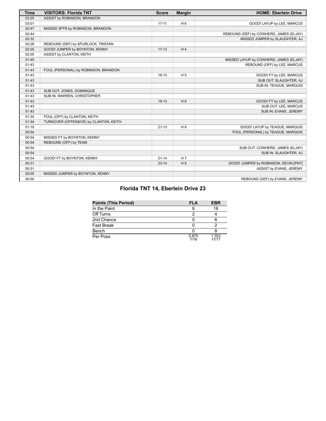| <b>Time</b> | <b>VISITORS: Florida TNT</b>           | <b>Score</b> | <b>Margin</b>  | <b>HOME: Eberlein Drive</b>             |
|-------------|----------------------------------------|--------------|----------------|-----------------------------------------|
| 03:25       | ASSIST by ROBINSON, BRANDON            |              |                |                                         |
| 03:01       |                                        | $17 - 11$    | H <sub>6</sub> | GOOD! LAYUP by LEE, MARCUS              |
| 02:47       | MISSED 3PTR by ROBINSON, BRANDON       |              |                |                                         |
| 02:44       |                                        |              |                | REBOUND (DEF) by COWHERD, JAMES (ELJAY) |
| 02:32       |                                        |              |                | MISSED JUMPER by SLAUGHTER, AJ          |
| 02:28       | REBOUND (DEF) by SPURLOCK, TRISTAN     |              |                |                                         |
| 02:05       | GOOD! JUMPER by BOYNTON, KENNY         | $17-13$      | H4             |                                         |
| 02:05       | ASSIST by CLANTON, KEITH               |              |                |                                         |
| 01:45       |                                        |              |                | MISSED LAYUP by COWHERD, JAMES (ELJAY)  |
| 01:43       |                                        |              |                | REBOUND (OFF) by LEE, MARCUS            |
| 01:43       | FOUL (PERSONAL) by ROBINSON, BRANDON   |              |                |                                         |
| 01:43       |                                        | $18-13$      | H <sub>5</sub> | GOOD! FT by LEE, MARCUS                 |
| 01:43       |                                        |              |                | SUB OUT: SLAUGHTER, AJ                  |
| 01:43       |                                        |              |                | SUB IN: TEAGUE, MARQUIS                 |
| 01:43       | SUB OUT: JONES, DOMINIQUE              |              |                |                                         |
| 01:43       | SUB IN: WARREN, CHRISTOPHER            |              |                |                                         |
| 01:43       |                                        | $19-13$      | $H_6$          | GOOD! FT by LEE, MARCUS                 |
| 01:43       |                                        |              |                | SUB OUT: LEE, MARCUS                    |
| 01:43       |                                        |              |                | SUB IN: EVANS, JEREMY                   |
| 01:34       | FOUL (OFF) by CLANTON, KEITH           |              |                |                                         |
| 01:34       | TURNOVER (OFFENSIVE) by CLANTON, KEITH |              |                |                                         |
| 01:19       |                                        | $21 - 13$    | H8             | GOOD! LAYUP by TEAGUE, MARQUIS          |
| 00:54       |                                        |              |                | FOUL (PERSONAL) by TEAGUE, MARQUIS      |
| 00:54       | MISSED FT by BOYNTON, KENNY            |              |                |                                         |
| 00:54       | REBOUND (OFF) by TEAM                  |              |                |                                         |
| 00:54       |                                        |              |                | SUB OUT: COWHERD, JAMES (ELJAY)         |
| 00:54       |                                        |              |                | SUB IN: SLAUGHTER, AJ                   |
| 00:54       | GOOD! FT by BOYNTON, KENNY             | $21 - 14$    | H <sub>7</sub> |                                         |
| 00:31       |                                        | $23 - 14$    | H9             | GOOD! JUMPER by ROBINSON, DEVIN [PNT]   |
| 00:31       |                                        |              |                | ASSIST by EVANS, JEREMY                 |
| 00:00       | MISSED JUMPER by BOYNTON, KENNY        |              |                |                                         |
| 00:00       |                                        |              |                | REBOUND (DEF) by EVANS, JEREMY          |

# **Florida TNT 14, Eberlein Drive 23**

| <b>Points (This Period)</b> | <b>FLA</b>    | <b>EBR</b>     |
|-----------------------------|---------------|----------------|
| In the Paint                |               | 16             |
| Off Turns                   | ົ             |                |
| 2nd Chance                  |               |                |
| <b>Fast Break</b>           |               |                |
| Bench                       |               |                |
| Per Poss                    | 0.875<br>7/16 | 1.353<br>11/17 |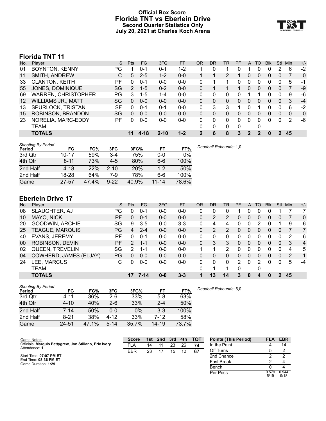# **Official Box Score Florida TNT vs Eberlein Drive Second Quarter Statistics Only July 20, 2021 at Charles Koch Arena**



# **Florida TNT 11**

| No.               | Plaver                     | S   | <b>Pts</b>     | FG      | 3FG      | <b>FT</b> | 0R       | DR | TR | PF       | A        | TO | <b>Blk</b> | Stl          | Min | $+/-$ |
|-------------------|----------------------------|-----|----------------|---------|----------|-----------|----------|----|----|----------|----------|----|------------|--------------|-----|-------|
| 01                | <b>BOYNTON, KENNY</b>      | PG. |                | $0 - 1$ | $0 - 1$  | 1-2       |          |    |    |          |          |    | 0          | 2            | 6   | $-2$  |
| 11                | SMITH, ANDREW              | С   | 5              | $2 - 5$ | $1 - 2$  | $0 - 0$   |          |    | 2  |          | 0        | 0  | 0          | 0            |     | 0     |
| 33                | <b>CLANTON, KEITH</b>      | РF  | 0              | $0 - 1$ | $0 - 0$  | $0 - 0$   | $\Omega$ |    |    | $\Omega$ | $\Omega$ | 0  | 0          | 0            | 5   | $-1$  |
| 55                | JONES, DOMINIQUE           | SG  | $\overline{2}$ | $1 - 5$ | $0 - 2$  | $0 - 0$   | $\Omega$ |    |    |          | 0        | 0  | 0          | 0            |     | -9    |
| 69                | <b>WARREN, CHRISTOPHER</b> | PG  | 3              | $1 - 5$ | $1 - 4$  | $0 - 0$   | $\Omega$ | 0  | 0  | ∩        |          |    | U          | <sup>0</sup> | 9   | -6    |
| $12 \overline{ }$ | <b>WILLIAMS JR., MATT</b>  | SG  | $\Omega$       | $0 - 0$ | $0 - 0$  | $0 - 0$   | $\Omega$ | 0  | 0  | 0        | 0        | 0  | 0          | $\Omega$     | 3   | $-4$  |
| 13                | SPURLOCK, TRISTAN          | SF  | 0              | $0 - 1$ | $0 - 1$  | $0 - 0$   | 0        | 3  | 3  |          | 0        |    | n          | U            | 6   | $-2$  |
| 15                | ROBINSON, BRANDON          | SG  | $\Omega$       | $0 - 0$ | $0 - 0$  | $0 - 0$   | $\Omega$ | 0  | 0  | 0        | 0        | 0  | 0          | 0            | 0   | 0     |
| 23                | NORELIA, MARC-EDDY         | РF  | 0              | $0 - 0$ | $0-0$    | $0 - 0$   | 0        | 0  | 0  | 0        | 0        | 0  | 0          | 0            | 2   | -6    |
|                   | TEAM                       |     |                |         |          |           | 0        | 0  | 0  | 0        |          | 0  |            |              |     |       |
|                   | <b>TOTALS</b>              |     | 11             | 4-18    | $2 - 10$ | $1 - 2$   |          | 6  | 8  | 3        | 2        |    | 0          | 2            | 45  |       |

| <b>Shooting By Period</b> |           |       |          |            |           |       |                        |
|---------------------------|-----------|-------|----------|------------|-----------|-------|------------------------|
| Period                    | FG        | FG%   | 3FG      | 3FG%       | FT        | FT%   | Deadball Rebounds: 1,0 |
| 3rd Qtr                   | $10 - 17$ | 59%   | $3 - 4$  | 75%        | 0-0       | 0%    |                        |
| 4th Qtr                   | $8 - 11$  | 73%   | $4-5$    | 80%        | $6 - 6$   | 100%  |                        |
| 2nd Half                  | 4-18      | 22%   | $2 - 10$ | <b>20%</b> | $1 - 2$   | 50%   |                        |
| 2nd Half                  | 18-28     | 64%   | 7-9      | 78%        | 6-6       | 100%  |                        |
| Game                      | $27 - 57$ | 47.4% | $9 - 22$ | 40.9%      | $11 - 14$ | 78.6% |                        |

# **Eberlein Drive 17**

| No. | Plaver                 | S         | <b>Pts</b>     | FG      | 3FG     | <b>FT</b> | <b>OR</b> | DR | TR | PF | A        | TO       | <b>Blk</b> | Stl          | Min | $+/-$          |
|-----|------------------------|-----------|----------------|---------|---------|-----------|-----------|----|----|----|----------|----------|------------|--------------|-----|----------------|
| 08  | SLAUGHTER, AJ          | PG        | 0              | $0 - 1$ | $0 - 0$ | $0 - 0$   |           |    | 0  |    |          | 0        | 0          |              |     |                |
| 10  | MAYO, NICK             | <b>PF</b> | 0              | $0 - 1$ | $0 - 0$ | $0 - 0$   | 0         | 2  | 2  | 0  | $\Omega$ | 0        | 0          | 0            |     | 0              |
| 20  | GOODWIN, ARCHIE        | SG        | 9              | $3 - 5$ | $0-0$   | $3 - 3$   | 0         | 4  | 4  | 0  |          | 2        | O          |              | 9   | 6              |
| 25  | TEAGUE, MARQUIS        | PG        | 4              | $2 - 4$ | $0 - 0$ | $0 - 0$   | 0         | 2  | 2  | 0  | 0        | 0        | 0          | 0            |     | 7              |
| 40  | <b>EVANS, JEREMY</b>   | РF        | 0              | $0 - 1$ | $0 - 0$ | $0-0$     | 0         | 0  | 0  | 0  |          | 0        | 0          | 0            | 2   | 6              |
| 00  | ROBINSON, DEVIN        | PF        | $\overline{2}$ | $1 - 1$ | $0 - 0$ | $0 - 0$   | 0         | 3  | 3  | 0  | 0        | 0        | 0          | $\mathbf{0}$ | 3   | $\overline{4}$ |
| 02  | QUEEN, TREVELIN        | SG        | 2              | 1-1     | $0 - 0$ | $0 - 0$   |           |    | 2  |    |          | U        | 0          | 0            | 4   | 5              |
| 04  | COWHERD, JAMES (ELJAY) | PG        | 0              | $0 - 0$ | $0 - 0$ | $0 - 0$   | 0         | 0  | 0  | 0  | 0        | $\Omega$ | 0          | $\mathbf{0}$ | 2   | -1             |
| 24  | LEE, MARCUS            | С         | 0              | $0 - 0$ | $0 - 0$ | $0 - 0$   | $\Omega$  | 0  | 0  | 2  | $\Omega$ | 2        | 0          | 0            | 5   | $-4$           |
|     | TEAM                   |           |                |         |         |           | 0         |    |    | 0  |          | 0        |            |              |     |                |
|     | <b>TOTALS</b>          |           | 17             | 7-14    | $0 - 0$ | $3 - 3$   |           | 13 | 14 | 3  | $\Omega$ | 4        | 0          | 2            | 45  |                |

| <b>Shooting By Period</b><br>Period | FG       | FG%   | 3FG      | 3FG%  | FT        | FT%   | Deadball Rebounds: 5,0 |
|-------------------------------------|----------|-------|----------|-------|-----------|-------|------------------------|
| 3rd Qtr                             | 4-11     | 36%   | 2-6      | 33%   | $5-8$     | 63%   |                        |
| 4th Qtr                             | $4 - 10$ | 40%   | $2 - 6$  | 33%   | $2 - 4$   | 50%   |                        |
| 2nd Half                            | 7-14     | 50%   | 0-0      | $0\%$ | $3 - 3$   | 100%  |                        |
| 2nd Half                            | $8 - 21$ | 38%   | 4-12     | 33%   | 7-12      | 58%   |                        |
| Game                                | 24-51    | 47.1% | $5 - 14$ | 35.7% | $14 - 19$ | 73.7% |                        |

Game Notes: Officials: **Marquis Pettygrew, Jon Stiliano, Eric Ivory** Attendance: **1** Start Time: **07:07 PM ET** End Time: **08:36 PM ET** Game Duration: **1:29 Score 1st 2nd 3rd 4th TOT** FLA 14 11 23 26 **74** EBR 23 17 15 12 **67 Points (This Period) FLA EBR** In the Paint 4 14 Off Turns 5 2<br>
2nd Chance 5 2 2 2nd Chance 2 2<br>
Fast Break 2 4 Fast Break 2 4 Bench 0 4<br>Per Poss 0.579 0.94 Per Poss

5/19 0.944 9/18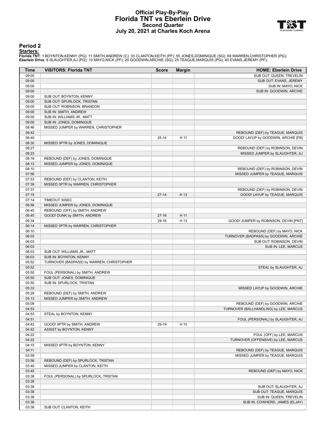## **Official Play-By-Play Florida TNT vs Eberlein Drive Second Quarter July 20, 2021 at Charles Koch Arena**



#### **Period 2**

<mark>Starters:</mark><br>Florida TNT: 1 BOYNTON,KENNY (PG); 11 SMITH,ANDREW (C); 33 CLANTON,KEITH (PF); 55 JONES,DOMINIQUE (SG); 69 WARREN,CHRISTOPHER (PG);<br>**Eberlein Drive**: 8 SLAUGHTER,AJ (PG); 10 MAYO,NICK (PF); 20 GOODWIN,ARCHIE (S

| Time           | <b>VISITORS: Florida TNT</b>                                          | <b>Score</b> | <b>Margin</b> | <b>HOME: Eberlein Drive</b>                                      |
|----------------|-----------------------------------------------------------------------|--------------|---------------|------------------------------------------------------------------|
| 09:00          |                                                                       |              |               | SUB OUT: QUEEN, TREVELIN                                         |
| 09:00          |                                                                       |              |               | SUB OUT: EVANS, JEREMY                                           |
| 09:00          |                                                                       |              |               | SUB IN: MAYO, NICK                                               |
| 09:00          |                                                                       |              |               | SUB IN: GOODWIN, ARCHIE                                          |
| 09:00          | SUB OUT: BOYNTON, KENNY                                               |              |               |                                                                  |
| 09:00<br>09:00 | SUB OUT: SPURLOCK, TRISTAN                                            |              |               |                                                                  |
| 09:00          | SUB OUT: ROBINSON, BRANDON<br>SUB IN: SMITH, ANDREW                   |              |               |                                                                  |
| 09:00          | SUB IN: WILLIAMS JR., MATT                                            |              |               |                                                                  |
| 09:00          | SUB IN: JONES, DOMINIQUE                                              |              |               |                                                                  |
| 08:46          | MISSED JUMPER by WARREN, CHRISTOPHER                                  |              |               |                                                                  |
| 08:42          |                                                                       |              |               | REBOUND (DEF) by TEAGUE, MARQUIS                                 |
| 08:40          |                                                                       | $25 - 14$    | H 11          | GOOD! LAYUP by GOODWIN, ARCHIE [FB]                              |
| 08:30          | MISSED 3PTR by JONES, DOMINIQUE                                       |              |               |                                                                  |
| 08:27          |                                                                       |              |               | REBOUND (DEF) by ROBINSON, DEVIN                                 |
| 08:23          |                                                                       |              |               | MISSED JUMPER by SLAUGHTER, AJ                                   |
| 08:18          | REBOUND (DEF) by JONES, DOMINIQUE                                     |              |               |                                                                  |
| 08:13          | MISSED JUMPER by JONES, DOMINIQUE                                     |              |               |                                                                  |
| 08:10          |                                                                       |              |               | REBOUND (DEF) by ROBINSON, DEVIN                                 |
| 07:56          |                                                                       |              |               | MISSED JUMPER by TEAGUE, MARQUIS                                 |
| 07:53<br>07:39 | REBOUND (DEF) by CLANTON, KEITH<br>MISSED 3PTR by WARREN, CHRISTOPHER |              |               |                                                                  |
| 07:37          |                                                                       |              |               | REBOUND (DEF) by ROBINSON, DEVIN                                 |
| 07:15          |                                                                       | $27 - 14$    | H 13          | GOOD! LAYUP by TEAGUE, MARQUIS                                   |
| 07:14          | <b>TIMEOUT 30SEC</b>                                                  |              |               |                                                                  |
| 06:56          | MISSED JUMPER by JONES, DOMINIQUE                                     |              |               |                                                                  |
| 06:45          | REBOUND (OFF) by SMITH, ANDREW                                        |              |               |                                                                  |
| 06:45          | GOOD! DUNK by SMITH, ANDREW                                           | $27-16$      | H 11          |                                                                  |
| 06:34          |                                                                       | 29-16        | H 13          | GOOD! JUMPER by ROBINSON, DEVIN [PNT]                            |
| 06:14          | MISSED 3PTR by WARREN, CHRISTOPHER                                    |              |               |                                                                  |
| 06:10          |                                                                       |              |               | REBOUND (DEF) by MAYO, NICK                                      |
| 06:03          |                                                                       |              |               | TURNOVER (BADPASS) by GOODWIN, ARCHIE                            |
| 06:03          |                                                                       |              |               | SUB OUT: ROBINSON, DEVIN                                         |
| 06:03          |                                                                       |              |               | SUB IN: LEE, MARCUS                                              |
| 06:03          | SUB OUT: WILLIAMS JR., MATT                                           |              |               |                                                                  |
| 06:03<br>05:52 | SUB IN: BOYNTON, KENNY                                                |              |               |                                                                  |
| 05:52          | TURNOVER (BADPASS) by WARREN, CHRISTOPHER                             |              |               | STEAL by SLAUGHTER, AJ                                           |
| 05:50          | FOUL (PERSONAL) by SMITH, ANDREW                                      |              |               |                                                                  |
| 05:50          | SUB OUT: JONES, DOMINIQUE                                             |              |               |                                                                  |
| 05:50          | SUB IN: SPURLOCK, TRISTAN                                             |              |               |                                                                  |
| 05:33          |                                                                       |              |               | MISSED LAYUP by GOODWIN, ARCHIE                                  |
| 05:29          | REBOUND (DEF) by SMITH, ANDREW                                        |              |               |                                                                  |
| 05:13          | MISSED JUMPER by SMITH, ANDREW                                        |              |               |                                                                  |
| 05:09          |                                                                       |              |               | REBOUND (DEF) by GOODWIN, ARCHIE                                 |
| 04:53          |                                                                       |              |               | TURNOVER (BALLHANDLING) by LEE, MARCUS                           |
| 04:53          | STEAL by BOYNTON, KENNY                                               |              |               |                                                                  |
| 04:51          |                                                                       |              |               | FOUL (PERSONAL) by SLAUGHTER, AJ                                 |
| 04:42          | GOOD! 3PTR by SMITH, ANDREW                                           | 29-19        | H 10          |                                                                  |
| 04:42<br>04:22 | ASSIST by BOYNTON, KENNY                                              |              |               |                                                                  |
| 04:22          |                                                                       |              |               | FOUL (OFF) by LEE, MARCUS<br>TURNOVER (OFFENSIVE) by LEE, MARCUS |
| 04:15          | MISSED 3PTR by BOYNTON, KENNY                                         |              |               |                                                                  |
| 04:11          |                                                                       |              |               | REBOUND (DEF) by TEAGUE, MARQUIS                                 |
| 03:59          |                                                                       |              |               | MISSED JUMPER by TEAGUE, MARQUIS                                 |
| 03:56          | REBOUND (DEF) by SPURLOCK, TRISTAN                                    |              |               |                                                                  |
| 03:49          | MISSED JUMPER by CLANTON, KEITH                                       |              |               |                                                                  |
| 03:45          |                                                                       |              |               | REBOUND (DEF) by MAYO, NICK                                      |
| 03:38          | FOUL (PERSONAL) by SPURLOCK, TRISTAN                                  |              |               |                                                                  |
| 03:38          |                                                                       |              |               |                                                                  |
| 03:38          |                                                                       |              |               | SUB OUT: SLAUGHTER, AJ                                           |
| 03:38          |                                                                       |              |               | SUB OUT: TEAGUE, MARQUIS                                         |
| 03:38          |                                                                       |              |               | SUB IN: QUEEN, TREVELIN                                          |
| 03:38          |                                                                       |              |               | SUB IN: COWHERD, JAMES (ELJAY)                                   |
| 03:38          | SUB OUT: CLANTON, KEITH                                               |              |               |                                                                  |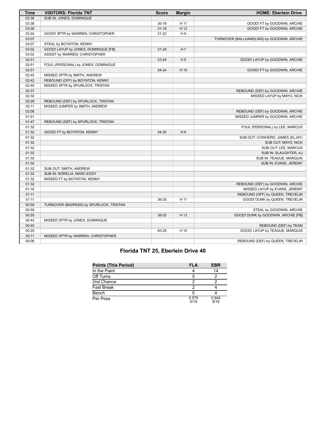| <b>Time</b> | <b>VISITORS: Florida TNT</b>            | <b>Score</b> | <b>Margin</b>  | <b>HOME: Eberlein Drive</b>                |
|-------------|-----------------------------------------|--------------|----------------|--------------------------------------------|
| 03:38       | SUB IN: JONES, DOMINIQUE                |              |                |                                            |
| 03:38       |                                         | $30 - 19$    | H 11           | GOOD! FT by GOODWIN, ARCHIE                |
| 03:38       |                                         | $31 - 19$    | H 12           | GOOD! FT by GOODWIN, ARCHIE                |
| 03:24       | GOOD! 3PTR by WARREN, CHRISTOPHER       | $31 - 22$    | H <sub>9</sub> |                                            |
| 03:07       |                                         |              |                | TURNOVER (BALLHANDLING) by GOODWIN, ARCHIE |
| 03:07       | STEAL by BOYNTON, KENNY                 |              |                |                                            |
| 03:02       | GOOD! LAYUP by JONES, DOMINIQUE [FB]    | $31 - 24$    | H 7            |                                            |
| 03:02       | ASSIST by WARREN, CHRISTOPHER           |              |                |                                            |
| 02:51       |                                         | 33-24        | H9             | GOOD! LAYUP by GOODWIN, ARCHIE             |
| 02:51       | FOUL (PERSONAL) by JONES, DOMINIQUE     |              |                |                                            |
| 02:51       |                                         | 34-24        | H 10           | GOOD! FT by GOODWIN, ARCHIE                |
| 02:45       | MISSED 3PTR by SMITH, ANDREW            |              |                |                                            |
| 02:42       | REBOUND (OFF) by BOYNTON, KENNY         |              |                |                                            |
| 02:40       | MISSED 3PTR by SPURLOCK, TRISTAN        |              |                |                                            |
| 02:37       |                                         |              |                | REBOUND (DEF) by GOODWIN, ARCHIE           |
| 02:32       |                                         |              |                | MISSED LAYUP by MAYO, NICK                 |
| 02:29       | REBOUND (DEF) by SPURLOCK, TRISTAN      |              |                |                                            |
| 02:11       | MISSED JUMPER by SMITH, ANDREW          |              |                |                                            |
| 02:08       |                                         |              |                | REBOUND (DEF) by GOODWIN, ARCHIE           |
| 01:51       |                                         |              |                | MISSED JUMPER by GOODWIN, ARCHIE           |
| 01:47       | REBOUND (DEF) by SPURLOCK, TRISTAN      |              |                |                                            |
| 01:32       |                                         |              |                | FOUL (PERSONAL) by LEE, MARCUS             |
| 01:32       | GOOD! FT by BOYNTON, KENNY              | 34-25        | H <sub>9</sub> |                                            |
| 01:32       |                                         |              |                | SUB OUT: COWHERD, JAMES (ELJAY)            |
| 01:32       |                                         |              |                | SUB OUT: MAYO, NICK                        |
| 01:32       |                                         |              |                | SUB OUT: LEE, MARCUS                       |
| 01:32       |                                         |              |                | SUB IN: SLAUGHTER, AJ                      |
| 01:32       |                                         |              |                | SUB IN: TEAGUE, MARQUIS                    |
| 01:32       |                                         |              |                | SUB IN: EVANS, JEREMY                      |
| 01:32       | SUB OUT: SMITH, ANDREW                  |              |                |                                            |
| 01:32       | SUB IN: NORELIA, MARC-EDDY              |              |                |                                            |
| 01:32       | MISSED FT by BOYNTON, KENNY             |              |                |                                            |
| 01:32       |                                         |              |                | REBOUND (DEF) by GOODWIN, ARCHIE           |
| 01:16       |                                         |              |                | MISSED LAYUP by EVANS, JEREMY              |
| 01:11       |                                         |              |                | REBOUND (OFF) by QUEEN, TREVELIN           |
| 01:11       |                                         | 36-25        | H 11           | GOOD! DUNK by QUEEN, TREVELIN              |
| 00:59       | TURNOVER (BADPASS) by SPURLOCK, TRISTAN |              |                |                                            |
| 00:59       |                                         |              |                | STEAL by GOODWIN, ARCHIE                   |
| 00:55       |                                         | 38-25        | H 13           | GOOD! DUNK by GOODWIN, ARCHIE [FB]         |
| 00:43       | MISSED 3PTR by JONES, DOMINIQUE         |              |                |                                            |
| 00:40       |                                         |              |                | REBOUND (DEF) by TEAM                      |
| 00:20       |                                         | 40-25        | H 15           | GOOD! LAYUP by TEAGUE, MARQUIS             |
| 00:11       | MISSED 3PTR by WARREN, CHRISTOPHER      |              |                |                                            |
| 00:08       |                                         |              |                | REBOUND (DEF) by QUEEN, TREVELIN           |

# **Florida TNT 25, Eberlein Drive 40**

| <b>Points (This Period)</b> | <b>FLA</b>    | <b>EBR</b>    |
|-----------------------------|---------------|---------------|
| In the Paint                |               | 14            |
| Off Turns                   | 5             |               |
| 2nd Chance                  |               |               |
| Fast Break                  |               |               |
| Bench                       |               |               |
| Per Poss                    | 0.579<br>5/19 | 0.944<br>9/18 |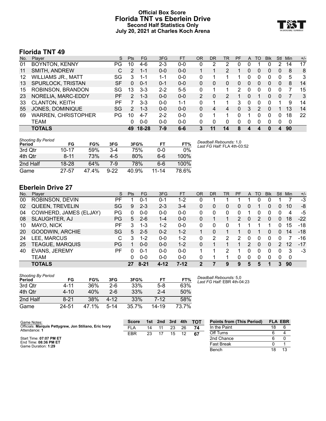# **Official Box Score Florida TNT vs Eberlein Drive Second Half Statistics Only July 20, 2021 at Charles Koch Arena**



# **Florida TNT 49**

| No. | Plaver                     | S  | <b>Pts</b>     | FG        | 3FG     | <b>FT</b> | <b>OR</b> | DR       | TR            | PF | A        | TO | <b>Blk</b> | Stl      | Min | $+/-$ |
|-----|----------------------------|----|----------------|-----------|---------|-----------|-----------|----------|---------------|----|----------|----|------------|----------|-----|-------|
| 01  | <b>BOYNTON, KENNY</b>      | PG | 10             | $4-6$     | $2 - 3$ | $0 - 0$   |           |          | 2             | 0  |          |    | 0          |          | 14  | 17    |
| 11  | SMITH, ANDREW              | С  | 2              | $1 - 1$   | $0 - 0$ | $0 - 0$   |           |          | $\mathcal{P}$ |    |          | 0  | 0          | $\Omega$ | 8   | 8     |
| 12  | <b>WILLIAMS JR., MATT</b>  | SG | 3              | 1-1       | 1-1     | $0 - 0$   | 0         |          |               |    |          | 0  | 0          |          | 5   | 3     |
| 13  | SPURLOCK, TRISTAN          | SF | 0              | $0 - 1$   | $0 - 1$ | $0 - 0$   | 0         | 0        | 0             | 0  |          | 0  | 0          | 0        | 8   | 14    |
| 15  | ROBINSON, BRANDON          | SG | 13             | $3 - 3$   | $2 - 2$ | $5 - 5$   | 0         |          |               | 2  |          | O  | 0          |          |     | 15    |
| 23  | NORELIA, MARC-EDDY         | РF | $\overline{2}$ | $1 - 3$   | $0 - 0$ | $0 - 0$   | 2         | $\Omega$ | 2             |    | $\Omega$ |    | 0          | $\Omega$ |     | 3     |
| 33  | <b>CLANTON, KEITH</b>      | PF |                | $3 - 3$   | $0 - 0$ | 1-1       | 0         |          |               | 3  | $\Omega$ | 0  | 0          |          | 9   | 14    |
| 55  | JONES, DOMINIQUE           | SG | $\mathcal{P}$  | $1 - 3$   | $0 - 0$ | $0 - 0$   | 0         | 4        | 4             | 0  | 3        | 2  | 0          |          | 13  | 14    |
| 69  | <b>WARREN, CHRISTOPHER</b> | PG | 10             | $4 - 7$   | $2 - 2$ | $0 - 0$   | 0         |          |               | 0  |          | 0  | 0          | 0        | 18  | 22    |
|     | TEAM                       |    | 0              | $0 - 0$   | $0 - 0$ | $0 - 0$   | 0         | 0        | 0             | 0  | $\Omega$ | 0  | 0          | $\Omega$ | 0   |       |
|     | <b>TOTALS</b>              |    | 49             | $18 - 28$ | 7-9     | $6-6$     | 3         | 11       | 14            | 8  |          |    | 0          |          | 90  |       |

| <b>Shooting By Period</b><br>Period | FG        | FG%  | 3FG    | 3FG%  | FT        | FT%   | Deadball Rebounds: 1,0<br>Last FG Half: FLA 4th-03:52 |
|-------------------------------------|-----------|------|--------|-------|-----------|-------|-------------------------------------------------------|
| 3rd Otr                             | $10 - 17$ | 59%  | $3-4$  | 75%   | 0-0       | 0%    |                                                       |
| 4th Qtr                             | $8 - 11$  | 73%  | $4-5$  | 80%   | 6-6       | 100%  |                                                       |
| 2nd Half                            | $18 - 28$ | 64%  | 7-9    | 78%   | 6-6       | 100%  |                                                       |
| Game                                | $27 - 57$ | 474% | $9-22$ | 40.9% | $11 - 14$ | 78.6% |                                                       |

# **Eberlein Drive 27**

| No. | Player                 | S  | <b>Pts</b> | FG      | 3FG      | <b>FT</b> | OR       | DR | TR | <b>PF</b> | $\mathsf{A}$   | TO       | <b>Blk</b> | Stl | Min | $+/-$ |
|-----|------------------------|----|------------|---------|----------|-----------|----------|----|----|-----------|----------------|----------|------------|-----|-----|-------|
| 00  | ROBINSON, DEVIN        | РF |            | 0-1     | 0-1      | $1-2$     |          |    |    |           |                | 0        |            |     |     | $-3$  |
| 02  | <b>QUEEN, TREVELIN</b> | SG | 9          | $2 - 3$ | $2 - 3$  | $3 - 4$   | 0        | 0  | 0  | 0         | 0              |          | 0          | 0   | 10  | -8    |
| 04  | COWHERD, JAMES (ELJAY) | PG | $\Omega$   | $0 - 0$ | $0 - 0$  | $0-0$     | 0        | 0  | 0  | 0         |                |          | ი          | 0   | 4   | -5    |
| 08  | SLAUGHTER, AJ          | PG | 5          | $2 - 6$ | $1 - 4$  | $0 - 0$   | $\Omega$ |    |    | 2         | $\overline{0}$ |          | 0          | 0   | 18  | $-22$ |
| 10  | MAYO, NICK             | РF | 3          | 1-3     | $1 - 2$  | $0-0$     | 0        | 0  | 0  |           |                |          |            | 0   | 15  | -18   |
| 20  | GOODWIN, ARCHIE        | SG | 5          | $2 - 5$ | $0 - 2$  | $1 - 2$   |          | 0  |    |           | 0              |          | 0          | 0   | 14  | $-18$ |
| 24  | LEE, MARCUS            | С  | 3          | $1-2$   | $0 - 0$  | $1-2$     | 0        | 2  | 2  | 2         | $\Omega$       | 0        | 0          | 0   |     | $-16$ |
| 25  | TEAGUE, MARQUIS        | PG |            | $0 - 0$ | $0 - 0$  | $1 - 2$   | 0        |    |    |           | 2              | $\Omega$ | 0          | 2   | 12  | $-17$ |
| 40  | EVANS, JEREMY          | РF | U          | 0-1     | $0 - 0$  | $0 - 0$   |          |    | າ  |           | 0              | 0        | O          | 0   | 3   | -3    |
|     | <b>TEAM</b>            |    | O          | $0 - 0$ | $0 - 0$  | $0 - 0$   | 0        |    | 1  | 0         | $\Omega$       | 0        | 0          | 0   | 0   |       |
|     | <b>TOTALS</b>          |    | 27         | 8-21    | $4 - 12$ | $7-12$    |          |    | 9  | 9         | 5              | 5        |            | 3   | 90  |       |

| Shooting By Period |          |       |        |       |           |       |
|--------------------|----------|-------|--------|-------|-----------|-------|
| Period             | FG       | FG%   | 3FG    | 3FG%  | FΤ        | FT%   |
| 3rd Otr            | 4-11     | 36%   | $2-6$  | 33%   | $5-8$     | 63%   |
| 4th Qtr            | $4 - 10$ | 40%   | $2-6$  | 33%   | $2 - 4$   | 50%   |
| 2nd Half           | $8 - 21$ | 38%   | 4-12   | 33%   | 7-12      | 58%   |
| Game               | 24-51    | 47.1% | $5-14$ | 35.7% | $14 - 19$ | 73.7% |

*Deadball Rebounds:* 5,0 *Last FG Half:* EBR 4th-04:23

| Game Notes:                                                             | <b>Score</b> |    | 1st 2nd | -3rd | 4th | тот | <b>Points from (This Period)</b> |    | <b>FLA EBR</b> |
|-------------------------------------------------------------------------|--------------|----|---------|------|-----|-----|----------------------------------|----|----------------|
| Officials: Marquis Pettygrew, Jon Stiliano, Eric Ivory<br>Attendance: 1 | FLA          | 14 |         | 23   | 26  | 74  | In the Paint                     | 18 |                |
|                                                                         | <b>EBR</b>   | 23 |         | 15   | 12  | 67  | Off Turns                        | 6  |                |
| Start Time: 07:07 PM ET                                                 |              |    |         |      |     |     | 2nd Chance                       |    |                |
| End Time: 08:36 PM ET<br>Game Duration: 1:29                            |              |    |         |      |     |     | <b>Fast Break</b>                |    |                |
|                                                                         |              |    |         |      |     |     | Bench                            | 18 |                |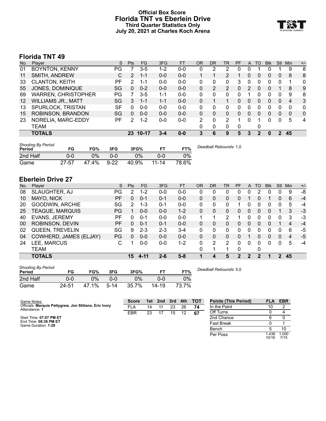# **Official Box Score Florida TNT vs Eberlein Drive Third Quarter Statistics Only July 20, 2021 at Charles Koch Arena**



# **Florida TNT 49**

| No.               | Plaver                     | S  | <b>Pts</b> | FG       | 3FG     | <b>FT</b> | 0R       | DR            | TR            | <b>PF</b> | A | TO       | <b>Blk</b> | Stl | Min      | $+/-$          |
|-------------------|----------------------------|----|------------|----------|---------|-----------|----------|---------------|---------------|-----------|---|----------|------------|-----|----------|----------------|
| 01                | <b>BOYNTON, KENNY</b>      | PG |            | $3 - 5$  | $1-2$   | $0 - 0$   | 0        |               | 2             | 0         | 0 |          | O          |     | 9        | 8              |
| 11                | SMITH, ANDREW              | С  | 2          | $1 - 1$  | $0 - 0$ | $0 - 0$   |          |               | 2             |           | 0 | 0        | 0          | 0   | 8        | 8              |
| 33                | <b>CLANTON, KEITH</b>      | РF | 2          | 1-1      | $0 - 0$ | $0 - 0$   | $\Omega$ | 0             | 0             | 3         | 0 | 0        | 0          | 0   | 1        | 0              |
| 55                | JONES, DOMINIQUE           | SG | $\Omega$   | $0 - 2$  | $0 - 0$ | $0 - 0$   | $\Omega$ | $\mathcal{P}$ | 2             | 0         | 2 | $\Omega$ | 0          |     | 8        | 9              |
| 69                | <b>WARREN, CHRISTOPHER</b> | PG |            | $3 - 5$  | $1 - 1$ | $0 - 0$   | $\Omega$ | 0             | 0             | 0         |   | 0        | 0          | 0   | 9        | 8              |
| $12 \overline{ }$ | <b>WILLIAMS JR., MATT</b>  | SG | 3          | $1 - 1$  | $1 - 1$ | $0 - 0$   | $\Omega$ |               |               | 0         | 0 | 0        | 0          | 0   | 4        | 3              |
| 13                | SPURLOCK, TRISTAN          | SF | 0          | $0 - 0$  | $0 - 0$ | $0 - 0$   | 0        | 0             | 0             | O         | 0 | 0        | U          | 0   | $\Omega$ | 0              |
| 15                | ROBINSON, BRANDON          | SG | $\Omega$   | $0 - 0$  | $0 - 0$ | $0 - 0$   | $\Omega$ | 0             | 0             | 0         | 0 | 0        | 0          | 0   | 0        | 0              |
| 23                | NORELIA, MARC-EDDY         | РF | 2          | $1 - 2$  | $0 - 0$ | $0 - 0$   | 2        | 0             | $\mathcal{P}$ |           | 0 |          | U          | 0   | 5        | $\overline{4}$ |
|                   | TEAM                       |    |            |          |         |           | 0        | 0             | 0             | 0         |   | 0        |            |     |          |                |
|                   | <b>TOTALS</b>              |    |            | 23 10-17 | 3-4     | $0 - 0$   | 3        | 6             | 9             | 5         | 3 | 2        | 0          | 2   | 45       |                |
|                   |                            |    |            |          |         |           |          |               |               |           |   |          |            |     |          |                |

| <b>Shooting By Period</b><br>Period | FG        | FG%   | 3FG      | 3FG%  |           | FT%   | Deadball Rebounds: 1,0 |
|-------------------------------------|-----------|-------|----------|-------|-----------|-------|------------------------|
| 2nd Half                            | 0-0       | 0%    | ი-ი      | 0%    | 0-0       | 0%    |                        |
| Game                                | $27 - 57$ | 47.4% | $9 - 22$ | 40.9% | $11 - 14$ | 78.6% |                        |

# **Eberlein Drive 27**

| No. | Player                 | S   | Pts | FG       | 3FG     | <b>FT</b> | OR | <b>DR</b> | TR | PF       | A        | TO       | <b>Blk</b> | Stl | Min | $+/-$ |
|-----|------------------------|-----|-----|----------|---------|-----------|----|-----------|----|----------|----------|----------|------------|-----|-----|-------|
| 08  | SLAUGHTER, AJ          | PG  | 2   | $1 - 2$  | $0-0$   | $0-0$     | 0  | 0         | 0  | 0        | 0        |          |            | 0   | 9   | -8    |
| 10  | MAYO, NICK             | РF  | 0   | $0 - 1$  | $0 - 1$ | $0-0$     | 0  | 0         | 0  | 0        |          | 0        |            | 0   | 6   | $-4$  |
| 20  | GOODWIN, ARCHIE        | SG  | 2   | $1 - 3$  | $0 - 1$ | $0-0$     | 0  | 0         | 0  |          | 0        | 0        | 0          | 0   | 5   | $-4$  |
| 25  | TEAGUE, MARQUIS        | РG  |     | $0 - 0$  | $0 - 0$ | $1 - 2$   | 0  | 0         | 0  | 0        | 0        | $\Omega$ | 0          |     | 3   | $-3$  |
| 40  | <b>EVANS, JEREMY</b>   | РF  | 0   | $0 - 1$  | $0 - 0$ | $0-0$     |    |           | 2  |          | 0        | 0        | 0          | 0   | 3   | -3    |
| 00  | ROBINSON, DEVIN        | PF. | 0   | $0 - 1$  | $0 - 1$ | $0 - 0$   | 0  | 0         | 0  | 0        | 0        | 0        |            |     | 4   | $-4$  |
| 02  | QUEEN, TREVELIN        | SG  | 9   | $2 - 3$  | $2 - 3$ | 3-4       | 0  | 0         | 0  | U        | 0        | ∩        | O          | 0   | 6   | -5    |
| 04  | COWHERD, JAMES (ELJAY) | PG  | 0   | $0 - 0$  | $0 - 0$ | $0 - 0$   | 0  | 0         | 0  | 0        |          | 0        | 0          | 0   | 4   | -5    |
| 24  | LEE, MARCUS            | С   |     | $0-0$    | $0 - 0$ | $1-2$     | 0  | 2         | 2  | 0        | $\Omega$ | 0        | 0          | 0   | 5   | $-4$  |
|     | TEAM                   |     |     |          |         |           | 0  |           |    | 0        |          | 0        |            |     |     |       |
|     | <b>TOTALS</b>          |     | 15  | $4 - 11$ | $2 - 6$ | $5 - 8$   |    | 4         | 5  | $\bf{2}$ | 2        | 2        |            | 2   | 45  |       |

| <b>Shooting By Period</b><br>Period | FG    | FG%   | 3FG      | 3FG%  | FТ    | FT%   |
|-------------------------------------|-------|-------|----------|-------|-------|-------|
| 2nd Half                            | 0-0   | $0\%$ | ი-ი      | $0\%$ | 0-0   | 0%    |
| Game                                | 24-51 | 47.1% | $5 - 14$ | 35.7% | 14-19 | 73.7% |

*Deadball Rebounds:* 5,0

| Game Notes:                                                             | <b>Score</b> |    | 1st 2nd | 3rd | 4th | <b>- тот</b> | <b>Points (This Period)</b> | <b>FLA</b>    | <b>EBR</b>    |
|-------------------------------------------------------------------------|--------------|----|---------|-----|-----|--------------|-----------------------------|---------------|---------------|
| Officials: Marquis Pettygrew, Jon Stiliano, Eric Ivory<br>Attendance: 1 | <b>FLA</b>   | 14 |         | 23  | 26  | 74           | In the Paint                | 10            |               |
|                                                                         | EBR          | 23 |         | 15  | 12  | 67           | Off Turns                   |               |               |
| Start Time: 07:07 PM ET                                                 |              |    |         |     |     |              | 2nd Chance                  |               |               |
| End Time: 08:36 PM ET<br>Game Duration: 1:29                            |              |    |         |     |     |              | <b>Fast Break</b>           |               |               |
|                                                                         |              |    |         |     |     |              | Bench                       |               |               |
|                                                                         |              |    |         |     |     |              | Per Poss                    | .438<br>10/16 | 1.000<br>7/15 |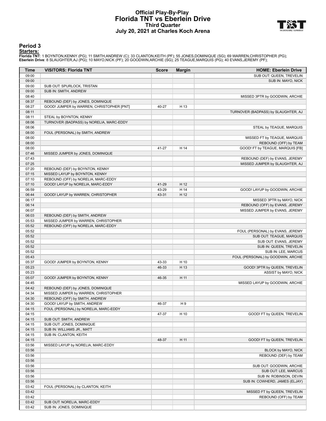## **Official Play-By-Play Florida TNT vs Eberlein Drive Third Quarter July 20, 2021 at Charles Koch Arena**



### **Period 3**

<mark>Starters:</mark><br>Florida TNT: 1 BOYNTON,KENNY (PG); 11 SMITH,ANDREW (C); 33 CLANTON,KEITH (PF); 55 JONES,DOMINIQUE (SG); 69 WARREN,CHRISTOPHER (PG);<br>**Eberlein Drive**: 8 SLAUGHTER,AJ (PG); 10 MAYO,NICK (PF); 20 GOODWIN,ARCHIE (S

| Time           | <b>VISITORS: Florida TNT</b>              | <b>Score</b> | <b>Margin</b> | <b>HOME: Eberlein Drive</b>                               |
|----------------|-------------------------------------------|--------------|---------------|-----------------------------------------------------------|
| 09:00          |                                           |              |               | SUB OUT: QUEEN, TREVELIN                                  |
| 09:00          |                                           |              |               | SUB IN: MAYO, NICK                                        |
| 09:00          | SUB OUT: SPURLOCK, TRISTAN                |              |               |                                                           |
| 09:00          | SUB IN: SMITH, ANDREW                     |              |               |                                                           |
| 08:40          |                                           |              |               | MISSED 3PTR by GOODWIN, ARCHIE                            |
| 08:37          | REBOUND (DEF) by JONES, DOMINIQUE         |              |               |                                                           |
| 08:27          | GOOD! JUMPER by WARREN, CHRISTOPHER [PNT] | 40-27        | H 13          |                                                           |
| 08:11          |                                           |              |               | TURNOVER (BADPASS) by SLAUGHTER, AJ                       |
| 08:11          | STEAL by BOYNTON, KENNY                   |              |               |                                                           |
| 08:06          | TURNOVER (BADPASS) by NORELIA, MARC-EDDY  |              |               |                                                           |
| 08:06          |                                           |              |               | STEAL by TEAGUE, MARQUIS                                  |
| 08:00          | FOUL (PERSONAL) by SMITH, ANDREW          |              |               |                                                           |
| 08:00          |                                           |              |               | MISSED FT by TEAGUE, MARQUIS                              |
| 08:00<br>08:00 |                                           | 41-27        | H 14          | REBOUND (OFF) by TEAM<br>GOOD! FT by TEAGUE, MARQUIS [FB] |
| 07:46          | MISSED JUMPER by JONES, DOMINIQUE         |              |               |                                                           |
| 07:43          |                                           |              |               | REBOUND (DEF) by EVANS, JEREMY                            |
| 07:25          |                                           |              |               | MISSED JUMPER by SLAUGHTER, AJ                            |
| 07:20          | REBOUND (DEF) by BOYNTON, KENNY           |              |               |                                                           |
| 07:15          | MISSED LAYUP by BOYNTON, KENNY            |              |               |                                                           |
| 07:10          | REBOUND (OFF) by NORELIA, MARC-EDDY       |              |               |                                                           |
| 07:10          | GOOD! LAYUP by NORELIA, MARC-EDDY         | 41-29        | H 12          |                                                           |
| 06:59          |                                           | 43-29        | H 14          | GOOD! LAYUP by GOODWIN, ARCHIE                            |
| 06:44          | GOOD! LAYUP by WARREN, CHRISTOPHER        | 43-31        | H 12          |                                                           |
| 06:17          |                                           |              |               | MISSED 3PTR by MAYO, NICK                                 |
| 06:14          |                                           |              |               | REBOUND (OFF) by EVANS, JEREMY                            |
| 06:07          |                                           |              |               | MISSED JUMPER by EVANS, JEREMY                            |
| 06:03          | REBOUND (DEF) by SMITH, ANDREW            |              |               |                                                           |
| 05:53          | MISSED JUMPER by WARREN, CHRISTOPHER      |              |               |                                                           |
| 05:52          | REBOUND (OFF) by NORELIA, MARC-EDDY       |              |               |                                                           |
| 05:52          |                                           |              |               | FOUL (PERSONAL) by EVANS, JEREMY                          |
| 05:52          |                                           |              |               | SUB OUT: TEAGUE, MARQUIS                                  |
| 05:52          |                                           |              |               | SUB OUT: EVANS, JEREMY                                    |
| 05:52          |                                           |              |               | SUB IN: QUEEN, TREVELIN                                   |
| 05:52          |                                           |              |               | SUB IN: LEE, MARCUS                                       |
| 05:43          |                                           |              |               | FOUL (PERSONAL) by GOODWIN, ARCHIE                        |
| 05:37          | GOOD! JUMPER by BOYNTON, KENNY            | 43-33        | H 10          |                                                           |
| 05:23          |                                           | 46-33        | H 13          | GOOD! 3PTR by QUEEN, TREVELIN                             |
| 05:23          |                                           |              |               | ASSIST by MAYO, NICK                                      |
| 05:07          | GOOD! JUMPER by BOYNTON, KENNY            | 46-35        | H 11          |                                                           |
| 04:45          |                                           |              |               | MISSED LAYUP by GOODWIN, ARCHIE                           |
| 04:42          | REBOUND (DEF) by JONES, DOMINIQUE         |              |               |                                                           |
| 04:34          | MISSED JUMPER by WARREN, CHRISTOPHER      |              |               |                                                           |
| 04:30          | REBOUND (OFF) by SMITH, ANDREW            |              |               |                                                           |
| 04:30          | GOOD! LAYUP by SMITH, ANDREW              | 46-37        | H 9           |                                                           |
| 04:15<br>04:15 | FOUL (PERSONAL) by NORELIA, MARC-EDDY     | 47-37        | H 10          |                                                           |
| 04:15          | SUB OUT: SMITH, ANDREW                    |              |               | GOOD! FT by QUEEN, TREVELIN                               |
| 04:15          | SUB OUT: JONES, DOMINIQUE                 |              |               |                                                           |
| 04:15          | SUB IN: WILLIAMS JR., MATT                |              |               |                                                           |
| 04:15          | SUB IN: CLANTON, KEITH                    |              |               |                                                           |
| 04:15          |                                           | 48-37        | H 11          | GOOD! FT by QUEEN, TREVELIN                               |
| 03:56          | MISSED LAYUP by NORELIA, MARC-EDDY        |              |               |                                                           |
| 03:56          |                                           |              |               | BLOCK by MAYO, NICK                                       |
| 03:56          |                                           |              |               | REBOUND (DEF) by TEAM                                     |
| 03:56          |                                           |              |               |                                                           |
| 03:56          |                                           |              |               | SUB OUT: GOODWIN, ARCHIE                                  |
| 03:56          |                                           |              |               | SUB OUT: LEE, MARCUS                                      |
| 03:56          |                                           |              |               | SUB IN: ROBINSON, DEVIN                                   |
| 03:56          |                                           |              |               | SUB IN: COWHERD, JAMES (ELJAY)                            |
| 03:42          | FOUL (PERSONAL) by CLANTON, KEITH         |              |               |                                                           |
| 03:42          |                                           |              |               | MISSED FT by QUEEN, TREVELIN                              |
| 03:42          |                                           |              |               | REBOUND (OFF) by TEAM                                     |
| 03:42          | SUB OUT: NORELIA, MARC-EDDY               |              |               |                                                           |
| 03:42          | SUB IN: JONES, DOMINIQUE                  |              |               |                                                           |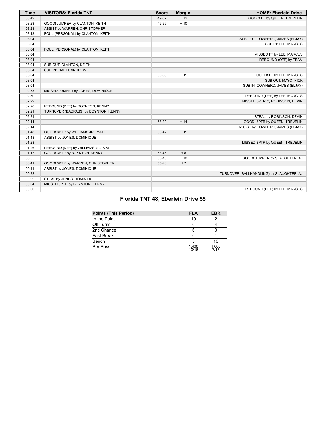| <b>Time</b> | <b>VISITORS: Florida TNT</b>         | <b>Score</b> | <b>Margin</b> | <b>HOME: Eberlein Drive</b>              |
|-------------|--------------------------------------|--------------|---------------|------------------------------------------|
| 03:42       |                                      | 49-37        | H 12          | GOOD! FT by QUEEN, TREVELIN              |
| 03:23       | GOOD! JUMPER by CLANTON, KEITH       | 49-39        | H 10          |                                          |
| 03:23       | ASSIST by WARREN, CHRISTOPHER        |              |               |                                          |
| 03:13       | FOUL (PERSONAL) by CLANTON, KEITH    |              |               |                                          |
| 03:04       |                                      |              |               | SUB OUT: COWHERD, JAMES (ELJAY)          |
| 03:04       |                                      |              |               | SUB IN: LEE, MARCUS                      |
| 03:04       | FOUL (PERSONAL) by CLANTON, KEITH    |              |               |                                          |
| 03:04       |                                      |              |               | MISSED FT by LEE, MARCUS                 |
| 03:04       |                                      |              |               | REBOUND (OFF) by TEAM                    |
| 03:04       | SUB OUT: CLANTON, KEITH              |              |               |                                          |
| 03:04       | SUB IN: SMITH, ANDREW                |              |               |                                          |
| 03:04       |                                      | 50-39        | H 11          | GOOD! FT by LEE, MARCUS                  |
| 03:04       |                                      |              |               | SUB OUT: MAYO, NICK                      |
| 03:04       |                                      |              |               | SUB IN: COWHERD, JAMES (ELJAY)           |
| 02:53       | MISSED JUMPER by JONES, DOMINIQUE    |              |               |                                          |
| 02:50       |                                      |              |               | REBOUND (DEF) by LEE, MARCUS             |
| 02:29       |                                      |              |               | MISSED 3PTR by ROBINSON, DEVIN           |
| 02:26       | REBOUND (DEF) by BOYNTON, KENNY      |              |               |                                          |
| 02:21       | TURNOVER (BADPASS) by BOYNTON, KENNY |              |               |                                          |
| 02:21       |                                      |              |               | STEAL by ROBINSON, DEVIN                 |
| 02:14       |                                      | 53-39        | H 14          | GOOD! 3PTR by QUEEN, TREVELIN            |
| 02:14       |                                      |              |               | ASSIST by COWHERD, JAMES (ELJAY)         |
| 01:48       | GOOD! 3PTR by WILLIAMS JR., MATT     | 53-42        | H 11          |                                          |
| 01:48       | ASSIST by JONES, DOMINIQUE           |              |               |                                          |
| 01:28       |                                      |              |               | MISSED 3PTR by QUEEN, TREVELIN           |
| 01:26       | REBOUND (DEF) by WILLIAMS JR., MATT  |              |               |                                          |
| 01:17       | GOOD! 3PTR by BOYNTON, KENNY         | 53-45        | H 8           |                                          |
| 00:55       |                                      | 55-45        | H 10          | GOOD! JUMPER by SLAUGHTER, AJ            |
| 00:41       | GOOD! 3PTR by WARREN, CHRISTOPHER    | 55-48        | H 7           |                                          |
| 00:41       | ASSIST by JONES, DOMINIQUE           |              |               |                                          |
| 00:22       |                                      |              |               | TURNOVER (BALLHANDLING) by SLAUGHTER, AJ |
| 00:22       | STEAL by JONES, DOMINIQUE            |              |               |                                          |
| 00:04       | MISSED 3PTR by BOYNTON, KENNY        |              |               |                                          |
| 00:00       |                                      |              |               | REBOUND (DEF) by LEE, MARCUS             |

# **Florida TNT 48, Eberlein Drive 55**

| <b>Points (This Period)</b> | <b>FLA</b>     | <b>EBR</b>    |
|-----------------------------|----------------|---------------|
| In the Paint                |                |               |
| Off Turns                   |                |               |
| 2nd Chance                  |                |               |
| <b>Fast Break</b>           |                |               |
| Bench                       |                | 10            |
| Per Poss                    | 1.438<br>10/16 | 1.000<br>7/15 |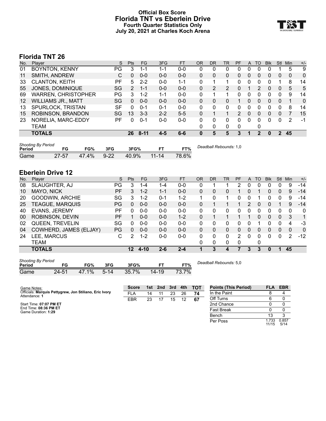# **Official Box Score Florida TNT vs Eberlein Drive Fourth Quarter Statistics Only July 20, 2021 at Charles Koch Arena**



# **Florida TNT 26**

| No.               | Plaver                     | S         | <b>Pts</b> | FG      | 3FG     | <b>FT</b> | ΟR       | DR | <b>TR</b> | <b>PF</b>     | A        | TO | <b>Blk</b> | Stl      | Min | $+/-$        |
|-------------------|----------------------------|-----------|------------|---------|---------|-----------|----------|----|-----------|---------------|----------|----|------------|----------|-----|--------------|
| 01                | <b>BOYNTON, KENNY</b>      | PG        | 3          | 1-1     | 1-1     | $0 - 0$   | 0        | 0  | 0         | 0             | 0        | 0  | 0          |          | 5   | 9            |
| 11                | SMITH, ANDREW              | С         | 0          | $0 - 0$ | $0 - 0$ | $0 - 0$   | $\Omega$ | 0  | 0         | $\Omega$      | 0        | 0  | 0          | 0        | 0   | $\mathbf{0}$ |
| 33                | <b>CLANTON, KEITH</b>      | РF        | 5          | $2 - 2$ | $0 - 0$ | 1-1       | $\Omega$ |    |           | 0             | $\Omega$ | 0  | 0          |          | 8   | 14           |
| 55                | JONES, DOMINIQUE           | SG        | 2          | $1 - 1$ | $0 - 0$ | $0 - 0$   | 0        | 2  | 2         | $\Omega$      |          | 2  | 0          | $\Omega$ | 5   | 5            |
| 69                | <b>WARREN, CHRISTOPHER</b> | PG.       | 3          | $1 - 2$ | $1 - 1$ | $0 - 0$   | 0        |    |           | 0             | $\Omega$ | 0  | 0          | 0        | 9   | 14           |
| $12 \overline{ }$ | <b>WILLIAMS JR., MATT</b>  | SG        | $\Omega$   | $0 - 0$ | $0 - 0$ | $0 - 0$   | 0        | 0  | 0         |               | 0        | 0  | 0          | 0        | 1   | $\Omega$     |
| 13                | SPURLOCK, TRISTAN          | <b>SF</b> | 0          | $0 - 1$ | $0 - 1$ | $0 - 0$   | $\Omega$ | 0  | 0         | <sup>0</sup>  | 0        | 0  | 0          | 0        | 8   | 14           |
| 15                | ROBINSON, BRANDON          | SG        | 13         | $3 - 3$ | $2 - 2$ | $5 - 5$   | 0        |    |           | $\mathcal{P}$ | $\Omega$ | 0  | 0          | 0        |     | 15           |
| 23                | NORELIA, MARC-EDDY         | РF        | 0          | $0 - 1$ | $0-0$   | $0 - 0$   | $\Omega$ | 0  | 0         | 0             | 0        | 0  | 0          | 0        | 2   | -1           |
|                   | TEAM                       |           |            |         |         |           | 0        | 0  | 0         | 0             |          | 0  |            |          |     |              |
|                   | <b>TOTALS</b>              |           | 26         | 8-11    | 4-5     | 6-6       |          | 5  | 5         | 3             |          | 2  | 0          | 2        | 45  |              |
|                   |                            |           |            |         |         |           |          |    |           |               |          |    |            |          |     |              |

| <b>Shooting By Period</b><br>Period | FG        | FG%   | 3FG      | 3FG%  |           | FT%   | Deadball Rebounds: 1,0 |
|-------------------------------------|-----------|-------|----------|-------|-----------|-------|------------------------|
| Game                                | $27 - 57$ | 47.4% | $9 - 22$ | 40.9% | $11 - 14$ | 78.6% |                        |

# **Eberlein Drive 12**

| No. | Player                 | S         | <b>Pts</b> | FG       | 3FG     | <b>FT</b> | 0R       | DR | TR | PF | A        | TO           | <b>Blk</b> | <b>Stl</b>   | Min      | $+/-$        |
|-----|------------------------|-----------|------------|----------|---------|-----------|----------|----|----|----|----------|--------------|------------|--------------|----------|--------------|
| 08  | SLAUGHTER, AJ          | PG        | 3          | $1 - 4$  | 1-4     | $0 - 0$   |          |    |    | 2  | 0        | 0            | 0          | 0            | 9        | -14          |
| 10  | MAYO, NICK             | <b>PF</b> | 3          | $1 - 2$  | $1 - 1$ | $0-0$     | 0        | 0  | 0  |    |          |              | 0          | $\mathbf{0}$ | 9        | $-14$        |
| 20  | GOODWIN, ARCHIE        | SG        | 3          | $1 - 2$  | $0 - 1$ | $1 - 2$   |          | 0  | 1  | 0  |          |              | 0          | 0            | 9        | -14          |
| 25  | <b>TEAGUE, MARQUIS</b> | PG        | 0          | $0 - 0$  | $0 - 0$ | $0 - 0$   | 0        |    |    |    | 2        | 0            | 0          |              | 9        | $-14$        |
| 40  | <b>EVANS, JEREMY</b>   | PF        | 0          | $0-0$    | $0-0$   | $0-0$     | $\Omega$ | 0  | 0  | 0  | 0        | <sup>0</sup> | 0          | 0            | $\Omega$ | 0            |
| 00  | ROBINSON, DEVIN        | РF        |            | $0 - 0$  | $0 - 0$ | $1 - 2$   | 0        |    |    |    |          | 0            | 0          | $\Omega$     | 3        | 1            |
| 02  | QUEEN, TREVELIN        | SG        | 0          | $0-0$    | $0 - 0$ | $0-0$     | 0        | 0  | 0  |    |          |              | 0          | 0            | 4        | $-3$         |
| 04  | COWHERD, JAMES (ELJAY) | PG        | 0          | $0 - 0$  | $0 - 0$ | $0 - 0$   | 0        | 0  | 0  | 0  | $\Omega$ | $\Omega$     | 0          | 0            | $\Omega$ | $\mathbf{0}$ |
| 24  | LEE, MARCUS            | С         | 2          | $1 - 2$  | $0 - 0$ | $0 - 0$   | $\Omega$ | 0  | 0  | 2  | $\Omega$ | 0            | 0          | $\Omega$     | 2        | $-12$        |
|     | TEAM                   |           |            |          |         |           | 0        | 0  | 0  | 0  |          | 0            |            |              |          |              |
|     | <b>TOTALS</b>          |           | 12         | $4 - 10$ | $2 - 6$ | $2 - 4$   |          | 3  | 4  | 7  | 3        | 3            | 0          |              | 45       |              |

| Shooting By Period |       |          |         |       |         |       |
|--------------------|-------|----------|---------|-------|---------|-------|
| Period             |       | FG%      | 3FG     | 3FG%  | FТ      | FT%   |
| Game               | 24-51 | $47.1\%$ | $-5-14$ | 35.7% | $14-19$ | 73.7% |

*Deadball Rebounds:* 5,0

**Score 1st 2nd 3rd 4th TOT**

| Game Notes:                                            | <b>Score</b> | 1st | 2nd | 3rd | 4th | <b>TOT</b> | <b>Points (This Period)</b> | <b>FLA</b>     | <b>EBR</b>    |
|--------------------------------------------------------|--------------|-----|-----|-----|-----|------------|-----------------------------|----------------|---------------|
| Officials: Marquis Pettygrew, Jon Stiliano, Eric Ivory | FLA          | 14  |     | 23  | 26  | 74         | In the Paint                |                |               |
| Attendance: 1                                          | <b>EBR</b>   | 23  | 17  | 15  | 12  | -67        | Off Turns                   |                |               |
| Start Time: 07:07 PM ET                                |              |     |     |     |     |            | 2nd Chance                  |                |               |
| End Time: 08:36 PM ET<br>Game Duration: 1:29           |              |     |     |     |     |            | Fast Break                  |                |               |
|                                                        |              |     |     |     |     |            | Bench                       |                |               |
|                                                        |              |     |     |     |     |            | Per Poss                    | 1.733<br>11/15 | 0.857<br>5/14 |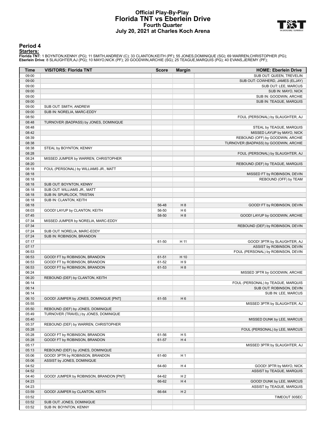## **Official Play-By-Play Florida TNT vs Eberlein Drive Fourth Quarter July 20, 2021 at Charles Koch Arena**



#### **Period 4**

<mark>Starters:</mark><br>Florida TNT: 1 BOYNTON,KENNY (PG); 11 SMITH,ANDREW (C); 33 CLANTON,KEITH (PF); 55 JONES,DOMINIQUE (SG); 69 WARREN,CHRISTOPHER (PG);<br>**Eberlein Drive**: 8 SLAUGHTER,AJ (PG); 10 MAYO,NICK (PF); 20 GOODWIN,ARCHIE (S

| <b>Time</b> | <b>VISITORS: Florida TNT</b>            | <b>Score</b> | <b>Margin</b>  | <b>HOME: Eberlein Drive</b>           |
|-------------|-----------------------------------------|--------------|----------------|---------------------------------------|
| 09:00       |                                         |              |                | SUB OUT: QUEEN, TREVELIN              |
| 09:00       |                                         |              |                | SUB OUT: COWHERD, JAMES (ELJAY)       |
| 09:00       |                                         |              |                | SUB OUT: LEE, MARCUS                  |
| 09:00       |                                         |              |                | SUB IN: MAYO, NICK                    |
| 09:00       |                                         |              |                | SUB IN: GOODWIN, ARCHIE               |
| 09:00       |                                         |              |                | SUB IN: TEAGUE, MARQUIS               |
| 09:00       | SUB OUT: SMITH, ANDREW                  |              |                |                                       |
| 09:00       | SUB IN: NORELIA, MARC-EDDY              |              |                |                                       |
| 08:50       |                                         |              |                | FOUL (PERSONAL) by SLAUGHTER, AJ      |
| 08:48       | TURNOVER (BADPASS) by JONES, DOMINIQUE  |              |                |                                       |
| 08:48       |                                         |              |                | STEAL by TEAGUE, MARQUIS              |
| 08:42       |                                         |              |                |                                       |
|             |                                         |              |                | MISSED LAYUP by MAYO, NICK            |
| 08:39       |                                         |              |                | REBOUND (OFF) by GOODWIN, ARCHIE      |
| 08:38       |                                         |              |                | TURNOVER (BADPASS) by GOODWIN, ARCHIE |
| 08:38       | STEAL by BOYNTON, KENNY                 |              |                |                                       |
| 08:28       |                                         |              |                | FOUL (PERSONAL) by SLAUGHTER, AJ      |
| 08:24       | MISSED JUMPER by WARREN, CHRISTOPHER    |              |                |                                       |
| 08:20       |                                         |              |                | REBOUND (DEF) by TEAGUE, MARQUIS      |
| 08:18       | FOUL (PERSONAL) by WILLIAMS JR., MATT   |              |                |                                       |
| 08:18       |                                         |              |                | MISSED FT by ROBINSON, DEVIN          |
| 08:18       |                                         |              |                | REBOUND (OFF) by TEAM                 |
| 08:18       | SUB OUT: BOYNTON, KENNY                 |              |                |                                       |
| 08:18       | SUB OUT: WILLIAMS JR., MATT             |              |                |                                       |
| 08:18       | SUB IN: SPURLOCK, TRISTAN               |              |                |                                       |
| 08:18       | SUB IN: CLANTON, KEITH                  |              |                |                                       |
| 08:18       |                                         | 56-48        | H <sub>8</sub> | GOOD! FT by ROBINSON, DEVIN           |
| 08:03       | GOOD! LAYUP by CLANTON, KEITH           | 56-50        | H <sub>6</sub> |                                       |
| 07:45       |                                         | 58-50        | H 8            | GOOD! LAYUP by GOODWIN, ARCHIE        |
| 07:34       | MISSED JUMPER by NORELIA, MARC-EDDY     |              |                |                                       |
| 07:34       |                                         |              |                | REBOUND (DEF) by ROBINSON, DEVIN      |
| 07:24       | SUB OUT: NORELIA, MARC-EDDY             |              |                |                                       |
| 07:24       | SUB IN: ROBINSON, BRANDON               |              |                |                                       |
| 07:17       |                                         | 61-50        | H 11           | GOOD! 3PTR by SLAUGHTER, AJ           |
| 07:17       |                                         |              |                | ASSIST by ROBINSON, DEVIN             |
| 06:53       |                                         |              |                | FOUL (PERSONAL) by ROBINSON, DEVIN    |
| 06:53       | GOOD! FT by ROBINSON, BRANDON           | 61-51        | H 10           |                                       |
| 06:53       | GOOD! FT by ROBINSON, BRANDON           | 61-52        | H <sub>9</sub> |                                       |
| 06:53       | GOOD! FT by ROBINSON, BRANDON           | 61-53        | H 8            |                                       |
| 06:24       |                                         |              |                | MISSED 3PTR by GOODWIN, ARCHIE        |
| 06:20       | REBOUND (DEF) by CLANTON, KEITH         |              |                |                                       |
| 06:14       |                                         |              |                | FOUL (PERSONAL) by TEAGUE, MARQUIS    |
| 06:14       |                                         |              |                | SUB OUT: ROBINSON, DEVIN              |
| 06:14       |                                         |              |                | SUB IN: LEE, MARCUS                   |
| 06:10       | GOOD! JUMPER by JONES, DOMINIQUE [PNT]  | 61-55        | H <sub>6</sub> |                                       |
| 05:55       |                                         |              |                | MISSED 3PTR by SLAUGHTER, AJ          |
| 05:50       | REBOUND (DEF) by JONES, DOMINIQUE       |              |                |                                       |
| 05:49       | TURNOVER (TRAVEL) by JONES, DOMINIQUE   |              |                |                                       |
|             |                                         |              |                |                                       |
| 05:40       |                                         |              |                | MISSED DUNK by LEE, MARCUS            |
| 05:37       | REBOUND (DEF) by WARREN, CHRISTOPHER    |              |                |                                       |
| 05:28       |                                         |              |                | FOUL (PERSONAL) by LEE, MARCUS        |
| 05:28       | GOOD! FT by ROBINSON, BRANDON           | 61-56        | H <sub>5</sub> |                                       |
| 05:28       | GOOD! FT by ROBINSON, BRANDON           | 61-57        | H 4            |                                       |
| 05:17       |                                         |              |                | MISSED 3PTR by SLAUGHTER, AJ          |
| 05:13       | REBOUND (DEF) by JONES, DOMINIQUE       |              |                |                                       |
| 05:06       | GOOD! 3PTR by ROBINSON, BRANDON         | 61-60        | H 1            |                                       |
| 05:06       | ASSIST by JONES, DOMINIQUE              |              |                |                                       |
| 04:52       |                                         | 64-60        | H 4            | GOOD! 3PTR by MAYO, NICK              |
| 04:52       |                                         |              |                | ASSIST by TEAGUE, MARQUIS             |
| 04:40       | GOOD! JUMPER by ROBINSON, BRANDON [PNT] | 64-62        | H <sub>2</sub> |                                       |
| 04:23       |                                         | 66-62        | H4             | GOOD! DUNK by LEE, MARCUS             |
| 04:23       |                                         |              |                | ASSIST by TEAGUE, MARQUIS             |
| 03:59       | GOOD! JUMPER by CLANTON, KEITH          | 66-64        | H <sub>2</sub> |                                       |
| 03:52       |                                         |              |                | TIMEOUT 30SEC                         |
| 03:52       | SUB OUT: JONES, DOMINIQUE               |              |                |                                       |
| 03:52       | SUB IN: BOYNTON, KENNY                  |              |                |                                       |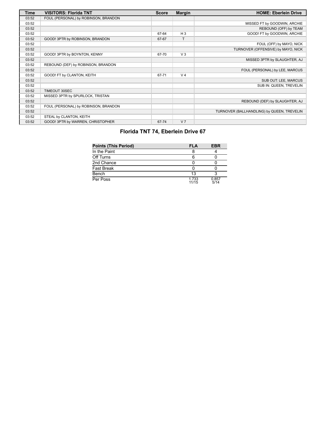| <b>Time</b> | <b>VISITORS: Florida TNT</b>         | <b>Score</b> | <b>Margin</b>  | <b>HOME: Eberlein Drive</b>                |
|-------------|--------------------------------------|--------------|----------------|--------------------------------------------|
| 03:52       | FOUL (PERSONAL) by ROBINSON, BRANDON |              |                |                                            |
| 03:52       |                                      |              |                | MISSED FT by GOODWIN, ARCHIE               |
| 03:52       |                                      |              |                | REBOUND (OFF) by TEAM                      |
| 03:52       |                                      | 67-64        | $H_3$          | GOOD! FT by GOODWIN, ARCHIE                |
| 03:52       | GOOD! 3PTR by ROBINSON, BRANDON      | 67-67        | T              |                                            |
| 03:52       |                                      |              |                | FOUL (OFF) by MAYO, NICK                   |
| 03:52       |                                      |              |                | TURNOVER (OFFENSIVE) by MAYO, NICK         |
| 03:52       | GOOD! 3PTR by BOYNTON, KENNY         | 67-70        | $V_3$          |                                            |
| 03:52       |                                      |              |                | MISSED 3PTR by SLAUGHTER, AJ               |
| 03:52       | REBOUND (DEF) by ROBINSON, BRANDON   |              |                |                                            |
| 03:52       |                                      |              |                | FOUL (PERSONAL) by LEE, MARCUS             |
| 03:52       | GOOD! FT by CLANTON, KEITH           | 67-71        | V <sub>4</sub> |                                            |
| 03:52       |                                      |              |                | SUB OUT: LEE, MARCUS                       |
| 03:52       |                                      |              |                | SUB IN: QUEEN, TREVELIN                    |
| 03:52       | TIMEOUT 30SEC                        |              |                |                                            |
| 03:52       | MISSED 3PTR by SPURLOCK, TRISTAN     |              |                |                                            |
| 03:52       |                                      |              |                | REBOUND (DEF) by SLAUGHTER, AJ             |
| 03:52       | FOUL (PERSONAL) by ROBINSON, BRANDON |              |                |                                            |
| 03:52       |                                      |              |                | TURNOVER (BALLHANDLING) by QUEEN, TREVELIN |
| 03:52       | STEAL by CLANTON, KEITH              |              |                |                                            |
| 03:52       | GOOD! 3PTR by WARREN, CHRISTOPHER    | 67-74        | V <sub>7</sub> |                                            |

# **Florida TNT 74, Eberlein Drive 67**

| <b>Points (This Period)</b> | <b>FLA</b>     | <b>EBR</b>    |
|-----------------------------|----------------|---------------|
| In the Paint                |                |               |
| Off Turns                   |                |               |
| 2nd Chance                  |                |               |
| <b>Fast Break</b>           |                |               |
| Bench                       | 13             |               |
| Per Poss                    | 1.733<br>11/15 | 0.857<br>5/14 |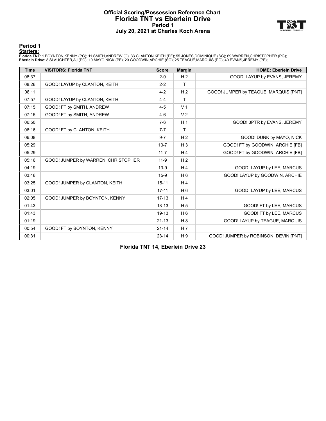#### **Official Scoring/Possession Reference Chart Florida TNT vs Eberlein Drive Period 1 July 20, 2021 at Charles Koch Arena**



**Period 1**

<mark>Starters:</mark><br>Florida TNT: 1 BOYNTON,KENNY (PG); 11 SMITH,ANDREW (C); 33 CLANTON,KEITH (PF); 55 JONES,DOMINIQUE (SG); 69 WARREN,CHRISTOPHER (PG);<br>**Eberlein Drive**: 8 SLAUGHTER,AJ (PG); 10 MAYO,NICK (PF); 20 GOODWIN,ARCHIE (S

| <b>Time</b> | <b>VISITORS: Florida TNT</b>        | <b>Score</b> | <b>Margin</b>  | <b>HOME: Eberlein Drive</b>           |
|-------------|-------------------------------------|--------------|----------------|---------------------------------------|
| 08:37       |                                     | $2 - 0$      | H <sub>2</sub> | GOOD! LAYUP by EVANS, JEREMY          |
| 08:26       | GOOD! LAYUP by CLANTON, KEITH       | $2 - 2$      | T.             |                                       |
| 08:11       |                                     | $4 - 2$      | H <sub>2</sub> | GOOD! JUMPER by TEAGUE, MARQUIS [PNT] |
| 07:57       | GOOD! LAYUP by CLANTON, KEITH       | $4 - 4$      | T.             |                                       |
| 07:15       | GOOD! FT by SMITH, ANDREW           | $4 - 5$      | V <sub>1</sub> |                                       |
| 07:15       | GOOD! FT by SMITH, ANDREW           | $4-6$        | V <sub>2</sub> |                                       |
| 06:50       |                                     | $7-6$        | H <sub>1</sub> | GOOD! 3PTR by EVANS, JEREMY           |
| 06:16       | GOOD! FT by CLANTON, KEITH          | $7 - 7$      | T.             |                                       |
| 06:08       |                                     | $9 - 7$      | H <sub>2</sub> | GOOD! DUNK by MAYO, NICK              |
| 05:29       |                                     | $10 - 7$     | $H_3$          | GOOD! FT by GOODWIN, ARCHIE [FB]      |
| 05:29       |                                     | $11 - 7$     | H <sub>4</sub> | GOOD! FT by GOODWIN, ARCHIE [FB]      |
| 05:16       | GOOD! JUMPER by WARREN, CHRISTOPHER | $11 - 9$     | H <sub>2</sub> |                                       |
| 04:19       |                                     | $13-9$       | H <sub>4</sub> | GOOD! LAYUP by LEE, MARCUS            |
| 03:46       |                                     | $15-9$       | H <sub>6</sub> | GOOD! LAYUP by GOODWIN, ARCHIE        |
| 03:25       | GOOD! JUMPER by CLANTON, KEITH      | $15 - 11$    | H <sub>4</sub> |                                       |
| 03:01       |                                     | $17 - 11$    | $H_6$          | GOOD! LAYUP by LEE, MARCUS            |
| 02:05       | GOOD! JUMPER by BOYNTON, KENNY      | $17-13$      | H <sub>4</sub> |                                       |
| 01:43       |                                     | $18 - 13$    | H <sub>5</sub> | GOOD! FT by LEE, MARCUS               |
| 01:43       |                                     | 19-13        | H <sub>6</sub> | GOOD! FT by LEE, MARCUS               |
| 01:19       |                                     | $21 - 13$    | $H_8$          | GOOD! LAYUP by TEAGUE, MARQUIS        |
| 00:54       | GOOD! FT by BOYNTON, KENNY          | $21 - 14$    | H 7            |                                       |
| 00:31       |                                     | $23 - 14$    | H <sub>9</sub> | GOOD! JUMPER by ROBINSON, DEVIN [PNT] |

**Florida TNT 14, Eberlein Drive 23**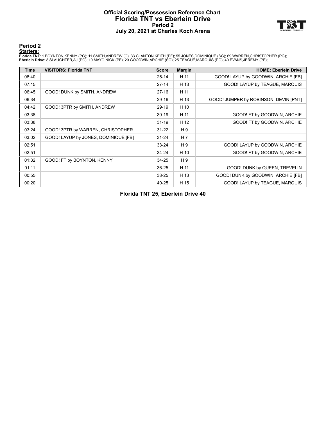#### **Official Scoring/Possession Reference Chart Florida TNT vs Eberlein Drive Period 2 July 20, 2021 at Charles Koch Arena**



#### **Period 2**

<mark>Starters:</mark><br>Florida TNT: 1 BOYNTON,KENNY (PG); 11 SMITH,ANDREW (C); 33 CLANTON,KEITH (PF); 55 JONES,DOMINIQUE (SG); 69 WARREN,CHRISTOPHER (PG);<br>**Eberlein Drive**: 8 SLAUGHTER,AJ (PG); 10 MAYO,NICK (PF); 20 GOODWIN,ARCHIE (S

| <b>Time</b> | <b>VISITORS: Florida TNT</b>         | <b>Score</b> | <b>Margin</b>  | <b>HOME: Eberlein Drive</b>           |
|-------------|--------------------------------------|--------------|----------------|---------------------------------------|
| 08:40       |                                      | $25 - 14$    | H 11           | GOOD! LAYUP by GOODWIN, ARCHIE [FB]   |
| 07:15       |                                      | $27 - 14$    | H 13           | GOOD! LAYUP by TEAGUE, MARQUIS        |
| 06:45       | GOOD! DUNK by SMITH, ANDREW          | $27-16$      | H 11           |                                       |
| 06:34       |                                      | 29-16        | H 13           | GOOD! JUMPER by ROBINSON, DEVIN [PNT] |
| 04:42       | GOOD! 3PTR by SMITH, ANDREW          | 29-19        | H 10           |                                       |
| 03:38       |                                      | $30 - 19$    | H 11           | GOOD! FT by GOODWIN, ARCHIE           |
| 03:38       |                                      | $31 - 19$    | H 12           | GOOD! FT by GOODWIN, ARCHIE           |
| 03:24       | GOOD! 3PTR by WARREN, CHRISTOPHER    | $31 - 22$    | H 9            |                                       |
| 03:02       | GOOD! LAYUP by JONES, DOMINIQUE [FB] | $31 - 24$    | H <sub>7</sub> |                                       |
| 02:51       |                                      | $33 - 24$    | H9             | GOOD! LAYUP by GOODWIN, ARCHIE        |
| 02:51       |                                      | $34 - 24$    | H 10           | GOOD! FT by GOODWIN, ARCHIE           |
| 01:32       | GOOD! FT by BOYNTON, KENNY           | $34 - 25$    | H 9            |                                       |
| 01:11       |                                      | $36 - 25$    | H 11           | GOOD! DUNK by QUEEN, TREVELIN         |
| 00:55       |                                      | 38-25        | H 13           | GOOD! DUNK by GOODWIN, ARCHIE [FB]    |
| 00:20       |                                      | 40-25        | H 15           | GOOD! LAYUP by TEAGUE, MARQUIS        |

**Florida TNT 25, Eberlein Drive 40**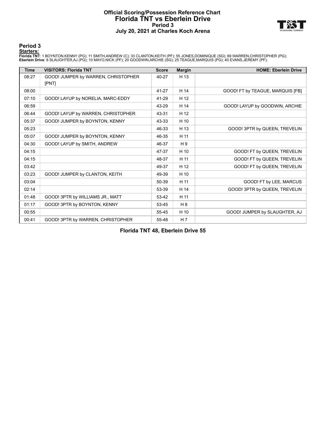#### **Official Scoring/Possession Reference Chart Florida TNT vs Eberlein Drive Period 3 July 20, 2021 at Charles Koch Arena**



**Period 3**

<mark>Starters:</mark><br>Florida TNT: 1 BOYNTON,KENNY (PG); 11 SMITH,ANDREW (C); 33 CLANTON,KEITH (PF); 55 JONES,DOMINIQUE (SG); 69 WARREN,CHRISTOPHER (PG);<br>**Eberlein Drive**: 8 SLAUGHTER,AJ (PG); 10 MAYO,NICK (PF); 20 GOODWIN,ARCHIE (S

| <b>Time</b> | <b>VISITORS: Florida TNT</b>        | <b>Score</b> | <b>Margin</b>  | <b>HOME: Eberlein Drive</b>      |
|-------------|-------------------------------------|--------------|----------------|----------------------------------|
| 08:27       | GOOD! JUMPER by WARREN, CHRISTOPHER | 40-27        | H 13           |                                  |
|             | [PNT]                               |              |                |                                  |
| 08:00       |                                     | 41-27        | H 14           | GOOD! FT by TEAGUE, MARQUIS [FB] |
| 07:10       | GOOD! LAYUP by NORELIA, MARC-EDDY   | 41-29        | H 12           |                                  |
| 06:59       |                                     | 43-29        | H 14           | GOOD! LAYUP by GOODWIN, ARCHIE   |
| 06:44       | GOOD! LAYUP by WARREN, CHRISTOPHER  | 43-31        | H 12           |                                  |
| 05:37       | GOOD! JUMPER by BOYNTON, KENNY      | 43-33        | H 10           |                                  |
| 05:23       |                                     | 46-33        | H 13           | GOOD! 3PTR by QUEEN, TREVELIN    |
| 05:07       | GOOD! JUMPER by BOYNTON, KENNY      | 46-35        | H 11           |                                  |
| 04:30       | GOOD! LAYUP by SMITH, ANDREW        | 46-37        | H 9            |                                  |
| 04:15       |                                     | 47-37        | H 10           | GOOD! FT by QUEEN, TREVELIN      |
| 04:15       |                                     | 48-37        | H 11           | GOOD! FT by QUEEN, TREVELIN      |
| 03:42       |                                     | 49-37        | H 12           | GOOD! FT by QUEEN, TREVELIN      |
| 03:23       | GOOD! JUMPER by CLANTON, KEITH      | 49-39        | H 10           |                                  |
| 03:04       |                                     | 50-39        | H 11           | GOOD! FT by LEE, MARCUS          |
| 02:14       |                                     | 53-39        | H 14           | GOOD! 3PTR by QUEEN, TREVELIN    |
| 01:48       | GOOD! 3PTR by WILLIAMS JR., MATT    | 53-42        | H 11           |                                  |
| 01:17       | GOOD! 3PTR by BOYNTON, KENNY        | 53-45        | H 8            |                                  |
| 00:55       |                                     | 55-45        | H 10           | GOOD! JUMPER by SLAUGHTER, AJ    |
| 00:41       | GOOD! 3PTR by WARREN, CHRISTOPHER   | 55-48        | H <sub>7</sub> |                                  |

**Florida TNT 48, Eberlein Drive 55**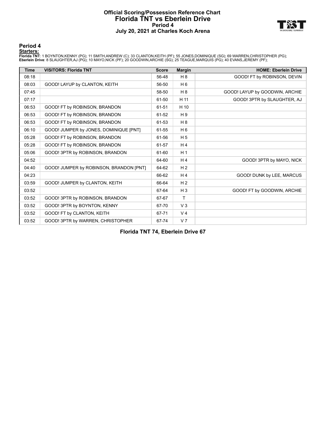#### **Official Scoring/Possession Reference Chart Florida TNT vs Eberlein Drive Period 4 July 20, 2021 at Charles Koch Arena**



#### **Period 4**

<mark>Starters:</mark><br>Florida TNT: 1 BOYNTON,KENNY (PG); 11 SMITH,ANDREW (C); 33 CLANTON,KEITH (PF); 55 JONES,DOMINIQUE (SG); 69 WARREN,CHRISTOPHER (PG);<br>**Eberlein Drive**: 8 SLAUGHTER,AJ (PG); 10 MAYO,NICK (PF); 20 GOODWIN,ARCHIE (S

| <b>Time</b> | <b>VISITORS: Florida TNT</b>            | <b>Score</b> | <b>Margin</b>  | <b>HOME: Eberlein Drive</b>    |
|-------------|-----------------------------------------|--------------|----------------|--------------------------------|
| 08:18       |                                         | 56-48        | H 8            | GOOD! FT by ROBINSON, DEVIN    |
| 08:03       | GOOD! LAYUP by CLANTON, KEITH           | 56-50        | H <sub>6</sub> |                                |
| 07:45       |                                         | 58-50        | H 8            | GOOD! LAYUP by GOODWIN, ARCHIE |
| 07:17       |                                         | 61-50        | H 11           | GOOD! 3PTR by SLAUGHTER, AJ    |
| 06:53       | GOOD! FT by ROBINSON, BRANDON           | 61-51        | H 10           |                                |
| 06:53       | GOOD! FT by ROBINSON, BRANDON           | 61-52        | H <sub>9</sub> |                                |
| 06:53       | GOOD! FT by ROBINSON, BRANDON           | 61-53        | H 8            |                                |
| 06:10       | GOOD! JUMPER by JONES, DOMINIQUE [PNT]  | 61-55        | H <sub>6</sub> |                                |
| 05:28       | GOOD! FT by ROBINSON, BRANDON           | 61-56        | H <sub>5</sub> |                                |
| 05:28       | GOOD! FT by ROBINSON, BRANDON           | 61-57        | H <sub>4</sub> |                                |
| 05:06       | GOOD! 3PTR by ROBINSON, BRANDON         | 61-60        | H <sub>1</sub> |                                |
| 04:52       |                                         | 64-60        | H <sub>4</sub> | GOOD! 3PTR by MAYO, NICK       |
| 04:40       | GOOD! JUMPER by ROBINSON, BRANDON [PNT] | 64-62        | H <sub>2</sub> |                                |
| 04:23       |                                         | 66-62        | H <sub>4</sub> | GOOD! DUNK by LEE, MARCUS      |
| 03:59       | GOOD! JUMPER by CLANTON, KEITH          | 66-64        | H <sub>2</sub> |                                |
| 03:52       |                                         | 67-64        | $H_3$          | GOOD! FT by GOODWIN, ARCHIE    |
| 03:52       | GOOD! 3PTR by ROBINSON, BRANDON         | 67-67        | Τ              |                                |
| 03:52       | GOOD! 3PTR by BOYNTON, KENNY            | 67-70        | $V_3$          |                                |
| 03:52       | GOOD! FT by CLANTON, KEITH              | 67-71        | V <sub>4</sub> |                                |
| 03:52       | GOOD! 3PTR by WARREN, CHRISTOPHER       | 67-74        | V <sub>7</sub> |                                |

**Florida TNT 74, Eberlein Drive 67**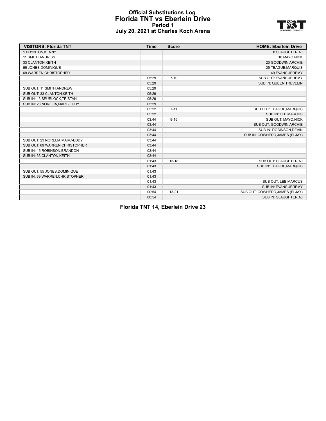### **Official Substitutions Log Florida TNT vs Eberlein Drive Period 1 July 20, 2021 at Charles Koch Arena**



| <b>VISITORS: Florida TNT</b>    | <b>Time</b> | <b>Score</b> | <b>HOME: Eberlein Drive</b>     |
|---------------------------------|-------------|--------------|---------------------------------|
| 1 BOYNTON, KENNY                |             |              | 8 SLAUGHTER, AJ                 |
| 11 SMITH, ANDREW                |             |              | 10 MAYO.NICK                    |
| 33 CLANTON, KEITH               |             |              | 20 GOODWIN, ARCHIE              |
| 55 JONES, DOMINIQUE             |             |              | <b>25 TEAGUE, MARQUIS</b>       |
| 69 WARREN, CHRISTOPHER          |             |              | 40 EVANS, JEREMY                |
|                                 | 05:29       | $7 - 10$     | SUB OUT: EVANS, JEREMY          |
|                                 | 05:29       |              | SUB IN: QUEEN, TREVELIN         |
| SUB OUT: 11 SMITH, ANDREW       | 05:29       |              |                                 |
| SUB OUT: 33 CLANTON, KEITH      | 05:29       |              |                                 |
| SUB IN: 13 SPURLOCK, TRISTAN    | 05:29       |              |                                 |
| SUB IN: 23 NORELIA, MARC-EDDY   | 05:29       |              |                                 |
|                                 | 05:22       | $7 - 11$     | SUB OUT: TEAGUE, MARQUIS        |
|                                 | 05:22       |              | SUB IN: LEE, MARCUS             |
|                                 | 03:44       | $9 - 15$     | SUB OUT: MAYO, NICK             |
|                                 | 03:44       |              | SUB OUT: GOODWIN, ARCHIE        |
|                                 | 03:44       |              | SUB IN: ROBINSON, DEVIN         |
|                                 | 03:44       |              | SUB IN: COWHERD, JAMES (ELJAY)  |
| SUB OUT: 23 NORELIA, MARC-EDDY  | 03:44       |              |                                 |
| SUB OUT: 69 WARREN, CHRISTOPHER | 03:44       |              |                                 |
| SUB IN: 15 ROBINSON, BRANDON    | 03:44       |              |                                 |
| SUB IN: 33 CLANTON, KEITH       | 03:44       |              |                                 |
|                                 | 01:43       | $13 - 18$    | SUB OUT: SLAUGHTER, AJ          |
|                                 | 01:43       |              | SUB IN: TEAGUE, MARQUIS         |
| SUB OUT: 55 JONES DOMINIQUE     | 01:43       |              |                                 |
| SUB IN: 69 WARREN, CHRISTOPHER  | 01:43       |              |                                 |
|                                 | 01:43       |              | SUB OUT: LEE, MARCUS            |
|                                 | 01:43       |              | SUB IN: EVANS, JEREMY           |
|                                 | 00:54       | $13 - 21$    | SUB OUT: COWHERD, JAMES (ELJAY) |
|                                 | 00:54       |              | SUB IN: SLAUGHTER, AJ           |

**Florida TNT 14, Eberlein Drive 23**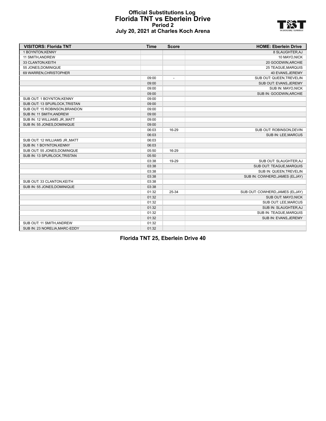### **Official Substitutions Log Florida TNT vs Eberlein Drive Period 2 July 20, 2021 at Charles Koch Arena**



| <b>VISITORS: Florida TNT</b>   | <b>Time</b> | <b>Score</b>   | <b>HOME: Eberlein Drive</b>     |
|--------------------------------|-------------|----------------|---------------------------------|
| 1 BOYNTON, KENNY               |             |                | 8 SLAUGHTER, AJ                 |
| 11 SMITH, ANDREW               |             |                | 10 MAYO, NICK                   |
| 33 CLANTON, KEITH              |             |                | 20 GOODWIN, ARCHIE              |
| 55 JONES DOMINIQUE             |             |                | <b>25 TEAGUE, MARQUIS</b>       |
| 69 WARREN, CHRISTOPHER         |             |                | 40 EVANS, JEREMY                |
|                                | 09:00       | $\overline{a}$ | SUB OUT: QUEEN, TREVELIN        |
|                                | 09:00       |                | SUB OUT: EVANS, JEREMY          |
|                                | 09:00       |                | SUB IN: MAYO, NICK              |
|                                | 09:00       |                | SUB IN: GOODWIN, ARCHIE         |
| SUB OUT: 1 BOYNTON, KENNY      | 09:00       |                |                                 |
| SUB OUT: 13 SPURLOCK, TRISTAN  | 09:00       |                |                                 |
| SUB OUT: 15 ROBINSON, BRANDON  | 09:00       |                |                                 |
| SUB IN: 11 SMITH, ANDREW       | 09:00       |                |                                 |
| SUB IN: 12 WILLIAMS JR., MATT  | 09:00       |                |                                 |
| SUB IN: 55 JONES, DOMINIQUE    | 09:00       |                |                                 |
|                                | 06:03       | 16-29          | SUB OUT: ROBINSON, DEVIN        |
|                                | 06:03       |                | SUB IN: LEE, MARCUS             |
| SUB OUT: 12 WILLIAMS JR., MATT | 06:03       |                |                                 |
| SUB IN: 1 BOYNTON, KENNY       | 06:03       |                |                                 |
| SUB OUT: 55 JONES, DOMINIQUE   | 05:50       | 16-29          |                                 |
| SUB IN: 13 SPURLOCK, TRISTAN   | 05:50       |                |                                 |
|                                | 03:38       | 19-29          | SUB OUT: SLAUGHTER, AJ          |
|                                | 03:38       |                | SUB OUT: TEAGUE, MARQUIS        |
|                                | 03:38       |                | SUB IN: QUEEN, TREVELIN         |
|                                | 03:38       |                | SUB IN: COWHERD, JAMES (ELJAY)  |
| SUB OUT: 33 CLANTON, KEITH     | 03:38       |                |                                 |
| SUB IN: 55 JONES, DOMINIQUE    | 03:38       |                |                                 |
|                                | 01:32       | 25-34          | SUB OUT: COWHERD, JAMES (ELJAY) |
|                                | 01:32       |                | SUB OUT: MAYO, NICK             |
|                                | 01:32       |                | SUB OUT: LEE, MARCUS            |
|                                | 01:32       |                | SUB IN: SLAUGHTER, AJ           |
|                                | 01:32       |                | SUB IN: TEAGUE, MARQUIS         |
|                                | 01:32       |                | SUB IN: EVANS, JEREMY           |
| SUB OUT: 11 SMITH, ANDREW      | 01:32       |                |                                 |
| SUB IN: 23 NORELIA, MARC-EDDY  | 01:32       |                |                                 |

**Florida TNT 25, Eberlein Drive 40**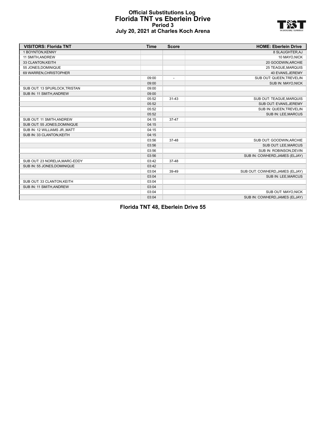### **Official Substitutions Log Florida TNT vs Eberlein Drive Period 3 July 20, 2021 at Charles Koch Arena**



| <b>VISITORS: Florida TNT</b>   | <b>Time</b> | <b>Score</b>             | <b>HOME: Eberlein Drive</b>     |
|--------------------------------|-------------|--------------------------|---------------------------------|
| 1 BOYNTON, KENNY               |             |                          | 8 SLAUGHTER, AJ                 |
| 11 SMITH, ANDREW               |             |                          | 10 MAYO, NICK                   |
| 33 CLANTON, KEITH              |             |                          | 20 GOODWIN, ARCHIE              |
| 55 JONES, DOMINIQUE            |             |                          | <b>25 TEAGUE, MARQUIS</b>       |
| 69 WARREN, CHRISTOPHER         |             |                          | 40 EVANS, JEREMY                |
|                                | 09:00       | $\overline{\phantom{a}}$ | SUB OUT: QUEEN, TREVELIN        |
|                                | 09:00       |                          | SUB IN: MAYO, NICK              |
| SUB OUT: 13 SPURLOCK, TRISTAN  | 09:00       |                          |                                 |
| SUB IN: 11 SMITH, ANDREW       | 09:00       |                          |                                 |
|                                | 05:52       | $31 - 43$                | SUB OUT: TEAGUE, MARQUIS        |
|                                | 05:52       |                          | SUB OUT: EVANS, JEREMY          |
|                                | 05:52       |                          | SUB IN: QUEEN, TREVELIN         |
|                                | 05:52       |                          | SUB IN: LEE, MARCUS             |
| SUB OUT: 11 SMITH, ANDREW      | 04:15       | $37 - 47$                |                                 |
| SUB OUT: 55 JONES, DOMINIQUE   | 04:15       |                          |                                 |
| SUB IN: 12 WILLIAMS JR., MATT  | 04:15       |                          |                                 |
| SUB IN: 33 CLANTON, KEITH      | 04:15       |                          |                                 |
|                                | 03:56       | 37-48                    | SUB OUT: GOODWIN, ARCHIE        |
|                                | 03:56       |                          | SUB OUT: LEE, MARCUS            |
|                                | 03:56       |                          | SUB IN: ROBINSON, DEVIN         |
|                                | 03:56       |                          | SUB IN: COWHERD, JAMES (ELJAY)  |
| SUB OUT: 23 NORELIA, MARC-EDDY | 03:42       | 37-48                    |                                 |
| SUB IN: 55 JONES, DOMINIQUE    | 03:42       |                          |                                 |
|                                | 03:04       | 39-49                    | SUB OUT: COWHERD, JAMES (ELJAY) |
|                                | 03:04       |                          | SUB IN: LEE, MARCUS             |
| SUB OUT: 33 CLANTON, KEITH     | 03:04       |                          |                                 |
| SUB IN: 11 SMITH, ANDREW       | 03:04       |                          |                                 |
|                                | 03:04       |                          | SUB OUT: MAYO, NICK             |
|                                | 03:04       |                          | SUB IN: COWHERD, JAMES (ELJAY)  |

**Florida TNT 48, Eberlein Drive 55**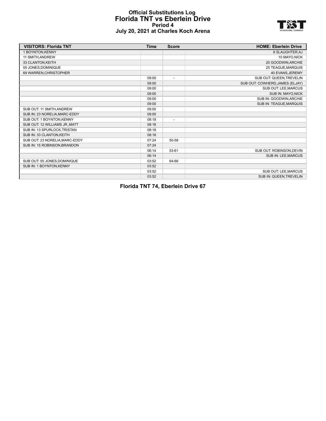### **Official Substitutions Log Florida TNT vs Eberlein Drive Period 4 July 20, 2021 at Charles Koch Arena**



| <b>VISITORS: Florida TNT</b>   | <b>Time</b> | <b>Score</b>             | <b>HOME: Eberlein Drive</b>     |
|--------------------------------|-------------|--------------------------|---------------------------------|
| 1 BOYNTON, KENNY               |             |                          | 8 SLAUGHTER, AJ                 |
| 11 SMITH.ANDREW                |             |                          | 10 MAYO, NICK                   |
| 33 CLANTON, KEITH              |             |                          | 20 GOODWIN, ARCHIE              |
| 55 JONES DOMINIQUE             |             |                          | 25 TEAGUE, MARQUIS              |
| 69 WARREN, CHRISTOPHER         |             |                          | 40 EVANS, JEREMY                |
|                                | 09:00       | $\overline{\phantom{a}}$ | SUB OUT: QUEEN, TREVELIN        |
|                                | 09:00       |                          | SUB OUT: COWHERD, JAMES (ELJAY) |
|                                | 09:00       |                          | SUB OUT: LEE, MARCUS            |
|                                | 09:00       |                          | SUB IN: MAYO, NICK              |
|                                | 09:00       |                          | SUB IN: GOODWIN, ARCHIE         |
|                                | 09:00       |                          | SUB IN: TEAGUE, MARQUIS         |
| SUB OUT: 11 SMITH, ANDREW      | 09:00       |                          |                                 |
| SUB IN: 23 NORELIA, MARC-EDDY  | 09:00       |                          |                                 |
| SUB OUT: 1 BOYNTON, KENNY      | 08:18       | $\overline{\phantom{a}}$ |                                 |
| SUB OUT: 12 WILLIAMS JR., MATT | 08:18       |                          |                                 |
| SUB IN: 13 SPURLOCK, TRISTAN   | 08:18       |                          |                                 |
| SUB IN: 33 CLANTON, KEITH      | 08:18       |                          |                                 |
| SUB OUT: 23 NORELIA, MARC-EDDY | 07:24       | 50-58                    |                                 |
| SUB IN: 15 ROBINSON, BRANDON   | 07:24       |                          |                                 |
|                                | 06:14       | 53-61                    | SUB OUT: ROBINSON, DEVIN        |
|                                | 06:14       |                          | SUB IN: LEE, MARCUS             |
| SUB OUT: 55 JONES DOMINIQUE    | 03:52       | 64-66                    |                                 |
| SUB IN: 1 BOYNTON, KENNY       | 03:52       |                          |                                 |
|                                | 03:52       |                          | SUB OUT: LEE, MARCUS            |
|                                | 03:52       |                          | SUB IN: QUEEN, TREVELIN         |

**Florida TNT 74, Eberlein Drive 67**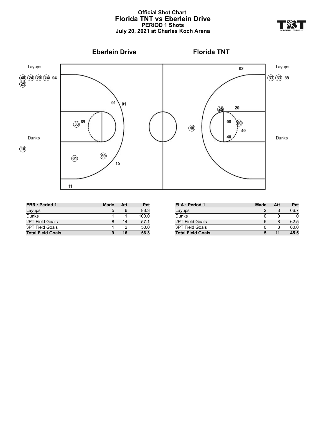# **Official Shot Chart Florida TNT vs Eberlein Drive PERIOD 1 Shots July 20, 2021 at Charles Koch Arena**



| <b>EBR</b> : Period 1    | <b>Made</b> | Att | Pct   |
|--------------------------|-------------|-----|-------|
| Layups                   | 5           | 6   | 83.3  |
| Dunks                    |             |     | 100.0 |
| 2PT Field Goals          |             | 14  | 57.1  |
| <b>3PT Field Goals</b>   |             |     | 50.0  |
| <b>Total Field Goals</b> | 9           | 16  | 56.3  |

| <b>FLA: Period 1</b>     | Made | Att | Pct  |
|--------------------------|------|-----|------|
| Layups                   |      | 3   | 66.7 |
| Dunks                    |      |     |      |
| <b>2PT Field Goals</b>   | 5    |     | 62.5 |
| <b>3PT Field Goals</b>   |      | 3   | 00.0 |
| <b>Total Field Goals</b> |      |     | 45.5 |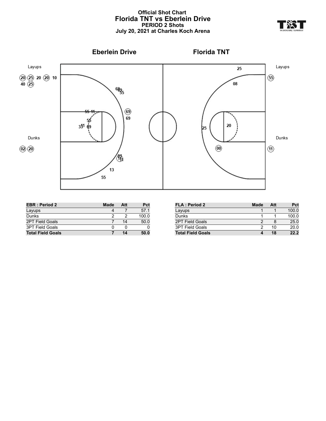# **Official Shot Chart Florida TNT vs Eberlein Drive PERIOD 2 Shots July 20, 2021 at Charles Koch Arena**



| <b>EBR</b> : Period 2    | Made | Att | Pct   |
|--------------------------|------|-----|-------|
| Layups                   |      |     | 57.1  |
| Dunks                    |      |     | 100.0 |
| 2PT Field Goals          |      | 14  | 50.0  |
| <b>3PT Field Goals</b>   | O    |     |       |
| <b>Total Field Goals</b> |      | 14  | 50.0  |

| <b>FLA: Period 2</b>     | Made | Att | Pct   |
|--------------------------|------|-----|-------|
| Layups                   |      |     | 100.0 |
| Dunks                    |      |     | 100.0 |
| 2PT Field Goals          |      |     | 25.0  |
| <b>3PT Field Goals</b>   |      | 10  | 20.0  |
| <b>Total Field Goals</b> |      | 18  | 22.2  |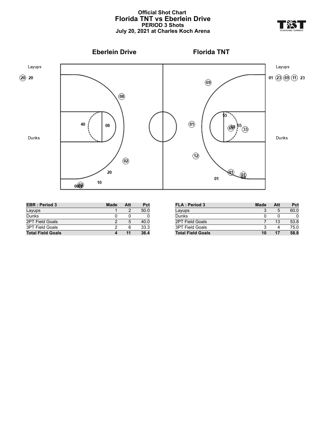# **Official Shot Chart Florida TNT vs Eberlein Drive PERIOD 3 Shots July 20, 2021 at Charles Koch Arena**



| <b>EBR</b> : Period 3    | <b>Made</b> | Att | Pct  |
|--------------------------|-------------|-----|------|
| Layups                   |             |     | 50.0 |
| Dunks                    |             |     |      |
| <b>2PT Field Goals</b>   |             | 5   | 40.0 |
| 3PT Field Goals          |             | 6   | 33.3 |
| <b>Total Field Goals</b> |             |     | 36.4 |

| <b>FLA: Period 3</b>     | <b>Made</b> | Att | Pct  |
|--------------------------|-------------|-----|------|
| Layups                   |             | 5   | 60.0 |
| Dunks                    |             |     |      |
| 2PT Field Goals          |             | 13  | 53.8 |
| 3PT Field Goals          |             |     | 75.0 |
| <b>Total Field Goals</b> | 10          | 17  | 58.8 |

**YE**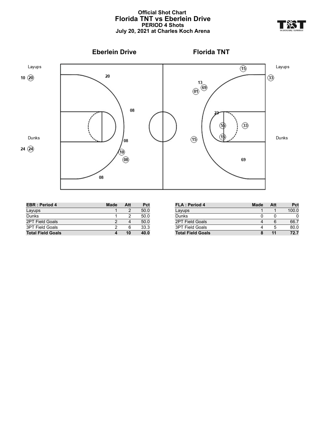# **Official Shot Chart Florida TNT vs Eberlein Drive PERIOD 4 Shots July 20, 2021 at Charles Koch Arena**



| <b>EBR</b> : Period 4    | <b>Made</b> | Att | Pct  |
|--------------------------|-------------|-----|------|
| Layups                   |             |     | 50.0 |
| Dunks                    |             |     | 50.0 |
| <b>2PT Field Goals</b>   |             |     | 50.0 |
| <b>3PT Field Goals</b>   |             |     | 33.3 |
| <b>Total Field Goals</b> |             | 10  | 40.0 |

| <b>FLA: Period 4</b>     | Made | Att | Pct   |
|--------------------------|------|-----|-------|
| Layups                   |      |     | 100.0 |
| Dunks                    |      |     |       |
| 2PT Field Goals          |      | 6   | 66.7  |
| <b>3PT Field Goals</b>   |      | 5   | 80.0  |
| <b>Total Field Goals</b> |      |     | 72.7  |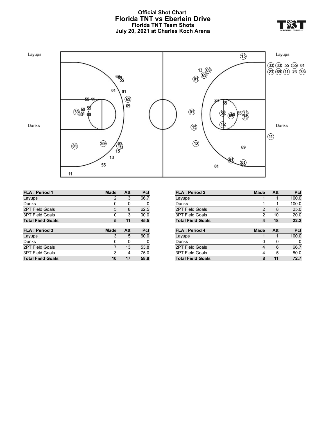# **Official Shot Chart Florida TNT vs Eberlein Drive Florida TNT Team Shots July 20, 2021 at Charles Koch Arena**



| <b>Made</b> | Att | Pct  |
|-------------|-----|------|
| 2           | 3   | 66.7 |
| 0           | 0   | 0    |
| 5           | 8   | 62.5 |
| 0           | 3   | 00.0 |
| 5           | 11  | 45.5 |
|             |     |      |
|             |     |      |
| <b>Made</b> | Att | Pct  |
| 3           | 5   | 60.0 |
| 0           | 0   | 0    |
| 7           | 13  | 53.8 |
| 3           | 4   | 75.0 |
|             |     |      |

| <b>FLA: Period 2</b>     | <b>Made</b> | Att | Pct   |
|--------------------------|-------------|-----|-------|
| Layups                   | 1           | 1   | 100.0 |
| Dunks                    | 1           | 1   | 100.0 |
| <b>2PT Field Goals</b>   | 2           | 8   | 25.0  |
| <b>3PT Field Goals</b>   | 2           | 10  | 20.0  |
| <b>Total Field Goals</b> | 4           | 18  | 22.2  |
|                          |             |     |       |
|                          |             |     |       |
| <b>FLA: Period 4</b>     | Made        | Att | Pct   |
| Layups                   | 1           | 1   | 100.0 |
| Dunks                    | 0           | 0   | 0     |
| <b>2PT Field Goals</b>   | 4           | 6   | 66.7  |
| <b>3PT Field Goals</b>   | 4           | 5   | 80.0  |